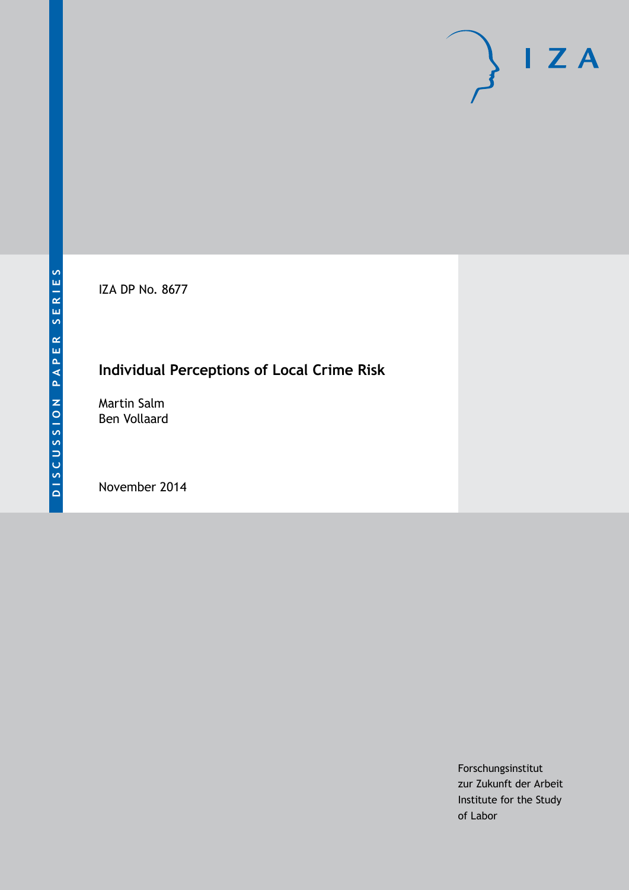IZA DP No. 8677

## **Individual Perceptions of Local Crime Risk**

Martin Salm Ben Vollaard

November 2014

Forschungsinstitut zur Zukunft der Arbeit Institute for the Study of Labor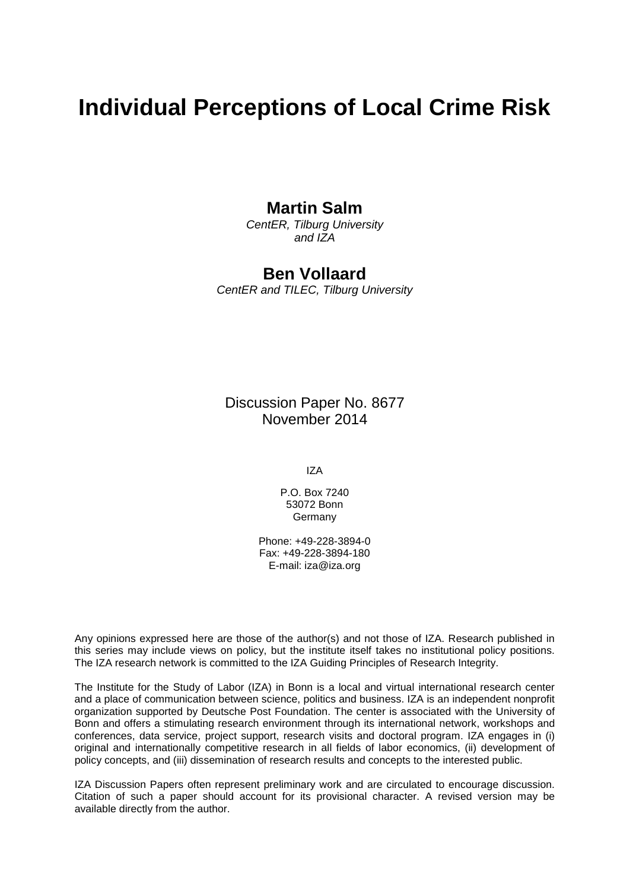# **Individual Perceptions of Local Crime Risk**

### **Martin Salm**

*CentER, Tilburg University and IZA*

### **Ben Vollaard**

*CentER and TILEC, Tilburg University*

Discussion Paper No. 8677 November 2014

IZA

P.O. Box 7240 53072 Bonn Germany

Phone: +49-228-3894-0 Fax: +49-228-3894-180 E-mail: [iza@iza.org](mailto:iza@iza.org)

Any opinions expressed here are those of the author(s) and not those of IZA. Research published in this series may include views on policy, but the institute itself takes no institutional policy positions. The IZA research network is committed to the IZA Guiding Principles of Research Integrity.

The Institute for the Study of Labor (IZA) in Bonn is a local and virtual international research center and a place of communication between science, politics and business. IZA is an independent nonprofit organization supported by Deutsche Post Foundation. The center is associated with the University of Bonn and offers a stimulating research environment through its international network, workshops and conferences, data service, project support, research visits and doctoral program. IZA engages in (i) original and internationally competitive research in all fields of labor economics, (ii) development of policy concepts, and (iii) dissemination of research results and concepts to the interested public.

<span id="page-1-0"></span>IZA Discussion Papers often represent preliminary work and are circulated to encourage discussion. Citation of such a paper should account for its provisional character. A revised version may be available directly from the author.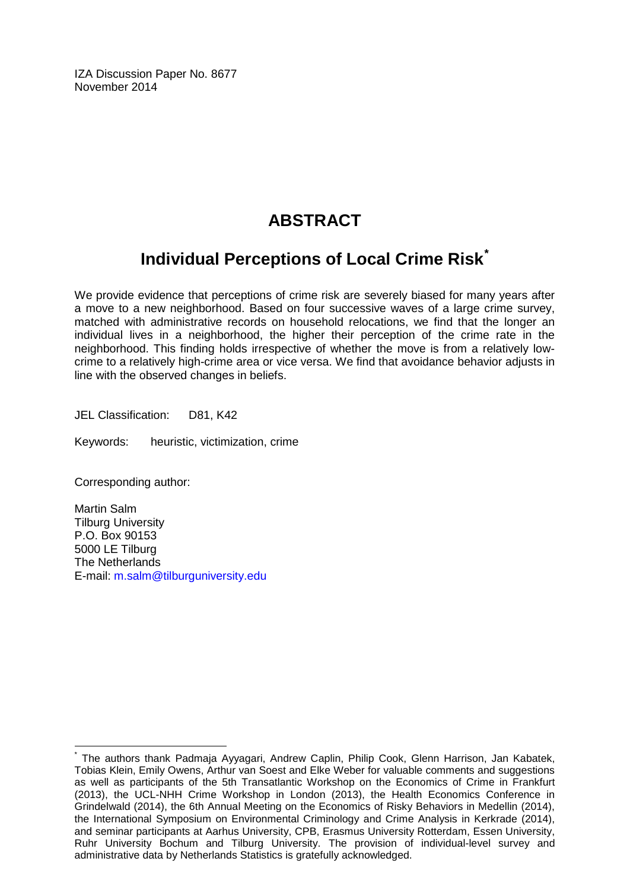IZA Discussion Paper No. 8677 November 2014

## **ABSTRACT**

## **Individual Perceptions of Local Crime Risk[\\*](#page-1-0)**

We provide evidence that perceptions of crime risk are severely biased for many years after a move to a new neighborhood. Based on four successive waves of a large crime survey, matched with administrative records on household relocations, we find that the longer an individual lives in a neighborhood, the higher their perception of the crime rate in the neighborhood. This finding holds irrespective of whether the move is from a relatively lowcrime to a relatively high-crime area or vice versa. We find that avoidance behavior adjusts in line with the observed changes in beliefs.

JEL Classification: D81, K42

Keywords: heuristic, victimization, crime

Corresponding author:

Martin Salm Tilburg University P.O. Box 90153 5000 LE Tilburg The Netherlands E-mail: [m.salm@tilburguniversity.edu](mailto:m.salm@tilburguniversity.edu)

\* The authors thank Padmaja Ayyagari, Andrew Caplin, Philip Cook, Glenn Harrison, Jan Kabatek, Tobias Klein, Emily Owens, Arthur van Soest and Elke Weber for valuable comments and suggestions as well as participants of the 5th Transatlantic Workshop on the Economics of Crime in Frankfurt (2013), the UCL-NHH Crime Workshop in London (2013), the Health Economics Conference in Grindelwald (2014), the 6th Annual Meeting on the Economics of Risky Behaviors in Medellin (2014), the International Symposium on Environmental Criminology and Crime Analysis in Kerkrade (2014), and seminar participants at Aarhus University, CPB, Erasmus University Rotterdam, Essen University, Ruhr University Bochum and Tilburg University. The provision of individual-level survey and administrative data by Netherlands Statistics is gratefully acknowledged.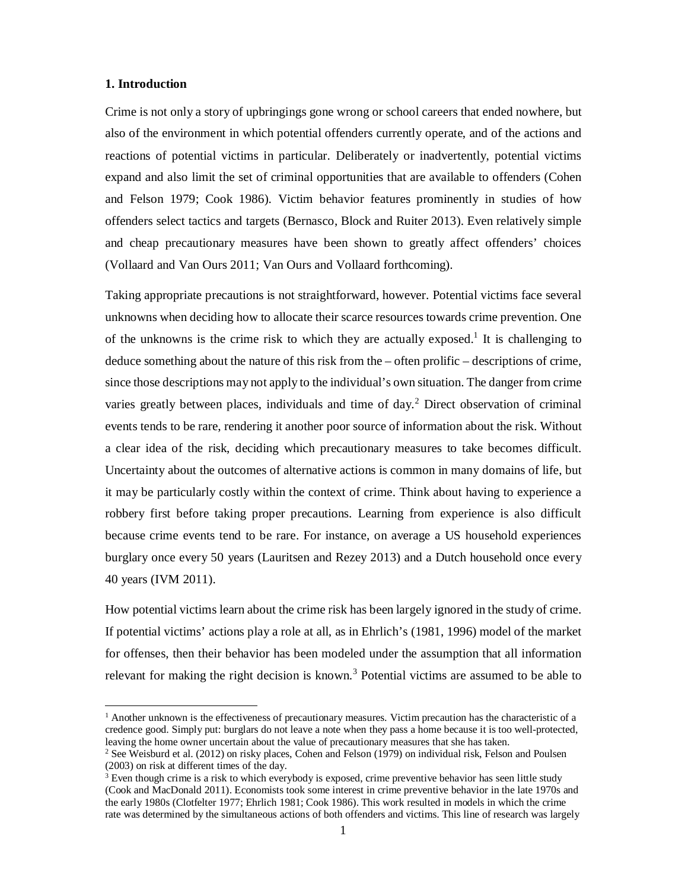#### **1. Introduction**

-

Crime is not only a story of upbringings gone wrong or school careers that ended nowhere, but also of the environment in which potential offenders currently operate, and of the actions and reactions of potential victims in particular. Deliberately or inadvertently, potential victims expand and also limit the set of criminal opportunities that are available to offenders (Cohen and Felson 1979; Cook 1986). Victim behavior features prominently in studies of how offenders select tactics and targets (Bernasco, Block and Ruiter 2013). Even relatively simple and cheap precautionary measures have been shown to greatly affect offenders' choices (Vollaard and Van Ours 2011; Van Ours and Vollaard forthcoming).

Taking appropriate precautions is not straightforward, however. Potential victims face several unknowns when deciding how to allocate their scarce resources towards crime prevention. One of the unknowns is the crime risk to which they are actually exposed.<sup>1</sup> It is challenging to deduce something about the nature of this risk from the – often prolific – descriptions of crime, since those descriptions may not apply to the individual's own situation. The danger from crime varies greatly between places, individuals and time of day.<sup>2</sup> Direct observation of criminal events tends to be rare, rendering it another poor source of information about the risk. Without a clear idea of the risk, deciding which precautionary measures to take becomes difficult. Uncertainty about the outcomes of alternative actions is common in many domains of life, but it may be particularly costly within the context of crime. Think about having to experience a robbery first before taking proper precautions. Learning from experience is also difficult because crime events tend to be rare. For instance, on average a US household experiences burglary once every 50 years (Lauritsen and Rezey 2013) and a Dutch household once every 40 years (IVM 2011).

How potential victims learn about the crime risk has been largely ignored in the study of crime. If potential victims' actions play a role at all, as in Ehrlich's (1981, 1996) model of the market for offenses, then their behavior has been modeled under the assumption that all information relevant for making the right decision is known.<sup>3</sup> Potential victims are assumed to be able to

 $<sup>1</sup>$  Another unknown is the effectiveness of precautionary measures. Victim precaution has the characteristic of a</sup> credence good. Simply put: burglars do not leave a note when they pass a home because it is too well-protected, leaving the home owner uncertain about the value of precautionary measures that she has taken.

<sup>&</sup>lt;sup>2</sup> See Weisburd et al. (2012) on risky places, Cohen and Felson (1979) on individual risk, Felson and Poulsen (2003) on risk at different times of the day.

<sup>&</sup>lt;sup>3</sup> Even though crime is a risk to which everybody is exposed, crime preventive behavior has seen little study (Cook and MacDonald 2011). Economists took some interest in crime preventive behavior in the late 1970s and the early 1980s (Clotfelter 1977; Ehrlich 1981; Cook 1986). This work resulted in models in which the crime rate was determined by the simultaneous actions of both offenders and victims. This line of research was largely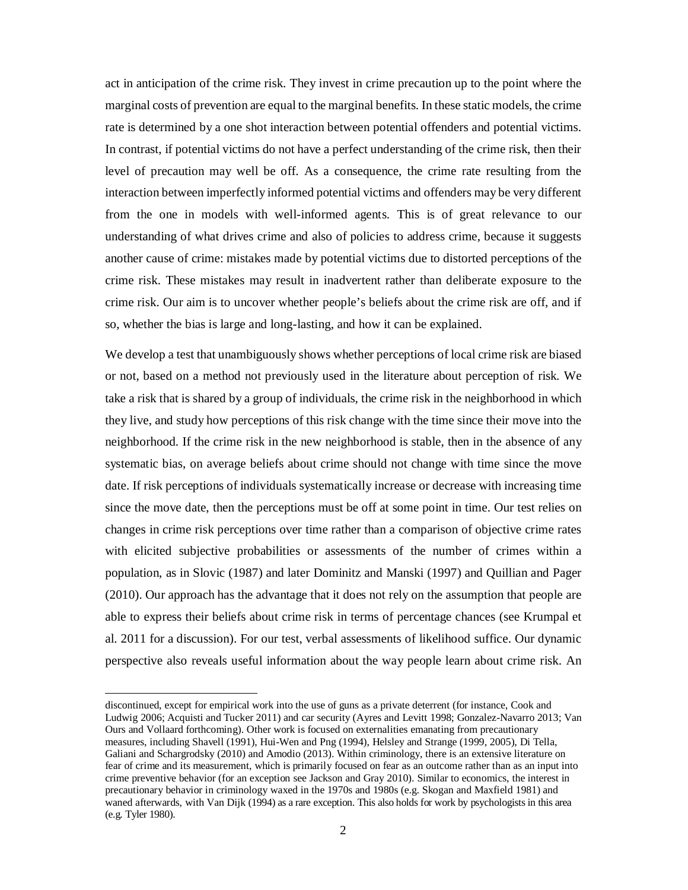act in anticipation of the crime risk. They invest in crime precaution up to the point where the marginal costs of prevention are equal to the marginal benefits. In these static models, the crime rate is determined by a one shot interaction between potential offenders and potential victims. In contrast, if potential victims do not have a perfect understanding of the crime risk, then their level of precaution may well be off. As a consequence, the crime rate resulting from the interaction between imperfectly informed potential victims and offenders may be very different from the one in models with well-informed agents. This is of great relevance to our understanding of what drives crime and also of policies to address crime, because it suggests another cause of crime: mistakes made by potential victims due to distorted perceptions of the crime risk. These mistakes may result in inadvertent rather than deliberate exposure to the crime risk. Our aim is to uncover whether people's beliefs about the crime risk are off, and if so, whether the bias is large and long-lasting, and how it can be explained.

We develop a test that unambiguously shows whether perceptions of local crime risk are biased or not, based on a method not previously used in the literature about perception of risk. We take a risk that is shared by a group of individuals, the crime risk in the neighborhood in which they live, and study how perceptions of this risk change with the time since their move into the neighborhood. If the crime risk in the new neighborhood is stable, then in the absence of any systematic bias, on average beliefs about crime should not change with time since the move date. If risk perceptions of individuals systematically increase or decrease with increasing time since the move date, then the perceptions must be off at some point in time. Our test relies on changes in crime risk perceptions over time rather than a comparison of objective crime rates with elicited subjective probabilities or assessments of the number of crimes within a population, as in Slovic (1987) and later Dominitz and Manski (1997) and Quillian and Pager (2010). Our approach has the advantage that it does not rely on the assumption that people are able to express their beliefs about crime risk in terms of percentage chances (see Krumpal et al. 2011 for a discussion). For our test, verbal assessments of likelihood suffice. Our dynamic perspective also reveals useful information about the way people learn about crime risk. An

discontinued, except for empirical work into the use of guns as a private deterrent (for instance, Cook and Ludwig 2006; Acquisti and Tucker 2011) and car security (Ayres and Levitt 1998; Gonzalez-Navarro 2013; Van Ours and Vollaard forthcoming). Other work is focused on externalities emanating from precautionary measures, including Shavell (1991), Hui-Wen and Png (1994), Helsley and Strange (1999, 2005), Di Tella, Galiani and Schargrodsky (2010) and Amodio (2013). Within criminology, there is an extensive literature on fear of crime and its measurement, which is primarily focused on fear as an outcome rather than as an input into crime preventive behavior (for an exception see Jackson and Gray 2010). Similar to economics, the interest in precautionary behavior in criminology waxed in the 1970s and 1980s (e.g. Skogan and Maxfield 1981) and waned afterwards, with Van Dijk (1994) as a rare exception. This also holds for work by psychologists in this area (e.g. Tyler 1980).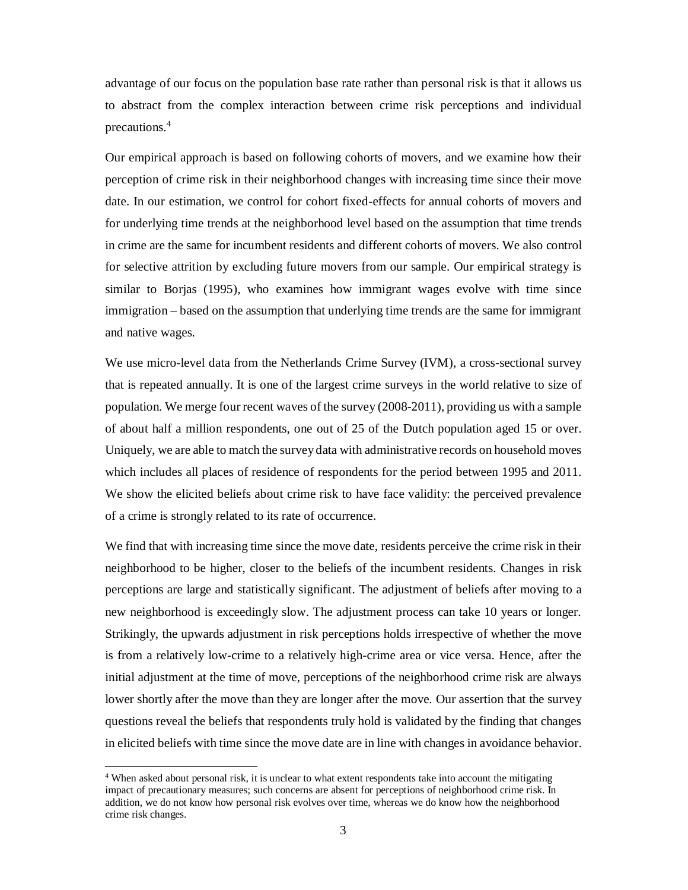advantage of our focus on the population base rate rather than personal risk is that it allows us to abstract from the complex interaction between crime risk perceptions and individual precautions. 4

Our empirical approach is based on following cohorts of movers, and we examine how their perception of crime risk in their neighborhood changes with increasing time since their move date. In our estimation, we control for cohort fixed-effects for annual cohorts of movers and for underlying time trends at the neighborhood level based on the assumption that time trends in crime are the same for incumbent residents and different cohorts of movers. We also control for selective attrition by excluding future movers from our sample. Our empirical strategy is similar to Borjas (1995), who examines how immigrant wages evolve with time since immigration – based on the assumption that underlying time trends are the same for immigrant and native wages.

We use micro-level data from the Netherlands Crime Survey (IVM), a cross-sectional survey that is repeated annually. It is one of the largest crime surveys in the world relative to size of population. We merge four recent waves of the survey (2008-2011), providing us with a sample of about half a million respondents, one out of 25 of the Dutch population aged 15 or over. Uniquely, we are able to match the survey data with administrative records on household moves which includes all places of residence of respondents for the period between 1995 and 2011. We show the elicited beliefs about crime risk to have face validity: the perceived prevalence of a crime is strongly related to its rate of occurrence.

We find that with increasing time since the move date, residents perceive the crime risk in their neighborhood to be higher, closer to the beliefs of the incumbent residents. Changes in risk perceptions are large and statistically significant. The adjustment of beliefs after moving to a new neighborhood is exceedingly slow. The adjustment process can take 10 years or longer. Strikingly, the upwards adjustment in risk perceptions holds irrespective of whether the move is from a relatively low-crime to a relatively high-crime area or vice versa. Hence, after the initial adjustment at the time of move, perceptions of the neighborhood crime risk are always lower shortly after the move than they are longer after the move. Our assertion that the survey questions reveal the beliefs that respondents truly hold is validated by the finding that changes in elicited beliefs with time since the move date are in line with changes in avoidance behavior.

<sup>&</sup>lt;sup>4</sup> When asked about personal risk, it is unclear to what extent respondents take into account the mitigating impact of precautionary measures; such concerns are absent for perceptions of neighborhood crime risk. In addition, we do not know how personal risk evolves over time, whereas we do know how the neighborhood crime risk changes.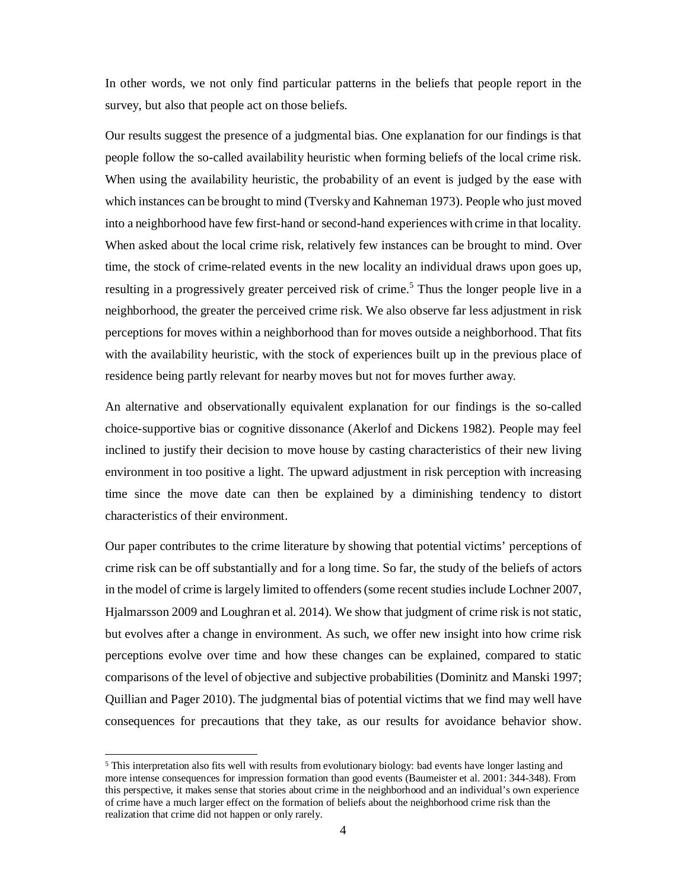In other words, we not only find particular patterns in the beliefs that people report in the survey, but also that people act on those beliefs.

Our results suggest the presence of a judgmental bias. One explanation for our findings is that people follow the so-called availability heuristic when forming beliefs of the local crime risk. When using the availability heuristic, the probability of an event is judged by the ease with which instances can be brought to mind (Tversky and Kahneman 1973). People who just moved into a neighborhood have few first-hand or second-hand experiences with crime in that locality. When asked about the local crime risk, relatively few instances can be brought to mind. Over time, the stock of crime-related events in the new locality an individual draws upon goes up, resulting in a progressively greater perceived risk of crime.<sup>5</sup> Thus the longer people live in a neighborhood, the greater the perceived crime risk. We also observe far less adjustment in risk perceptions for moves within a neighborhood than for moves outside a neighborhood. That fits with the availability heuristic, with the stock of experiences built up in the previous place of residence being partly relevant for nearby moves but not for moves further away.

An alternative and observationally equivalent explanation for our findings is the so-called choice-supportive bias or cognitive dissonance (Akerlof and Dickens 1982). People may feel inclined to justify their decision to move house by casting characteristics of their new living environment in too positive a light. The upward adjustment in risk perception with increasing time since the move date can then be explained by a diminishing tendency to distort characteristics of their environment.

Our paper contributes to the crime literature by showing that potential victims' perceptions of crime risk can be off substantially and for a long time. So far, the study of the beliefs of actors in the model of crime is largely limited to offenders(some recent studies include Lochner 2007, Hjalmarsson 2009 and Loughran et al. 2014). We show that judgment of crime risk is not static, but evolves after a change in environment. As such, we offer new insight into how crime risk perceptions evolve over time and how these changes can be explained, compared to static comparisons of the level of objective and subjective probabilities (Dominitz and Manski 1997; Quillian and Pager 2010). The judgmental bias of potential victims that we find may well have consequences for precautions that they take, as our results for avoidance behavior show.

<sup>5</sup> This interpretation also fits well with results from evolutionary biology: bad events have longer lasting and more intense consequences for impression formation than good events (Baumeister et al. 2001: 344-348). From this perspective, it makes sense that stories about crime in the neighborhood and an individual's own experience of crime have a much larger effect on the formation of beliefs about the neighborhood crime risk than the realization that crime did not happen or only rarely.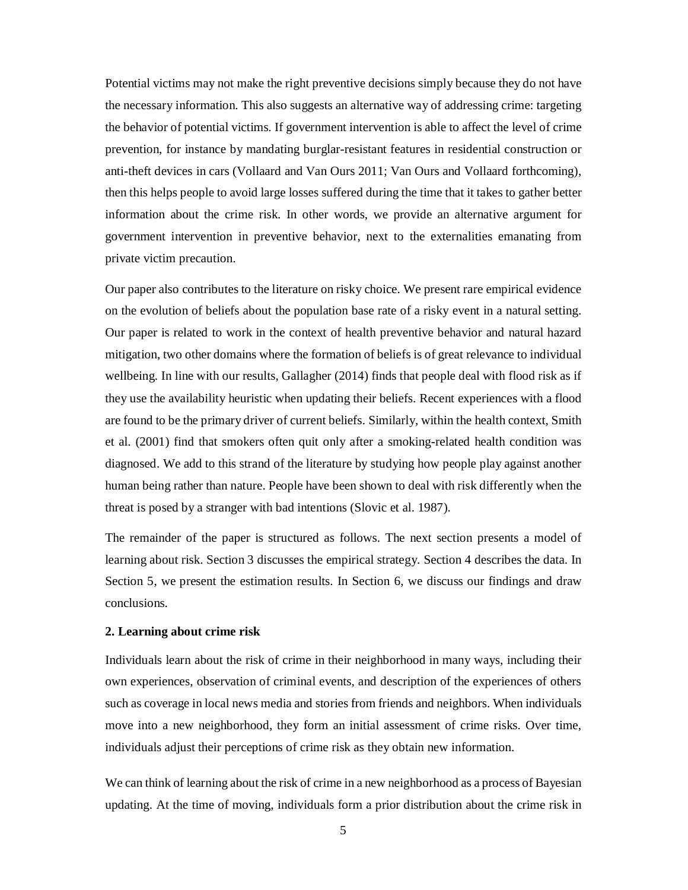Potential victims may not make the right preventive decisions simply because they do not have the necessary information. This also suggests an alternative way of addressing crime: targeting the behavior of potential victims. If government intervention is able to affect the level of crime prevention, for instance by mandating burglar-resistant features in residential construction or anti-theft devices in cars (Vollaard and Van Ours 2011; Van Ours and Vollaard forthcoming), then this helps people to avoid large losses suffered during the time that it takes to gather better information about the crime risk. In other words, we provide an alternative argument for government intervention in preventive behavior, next to the externalities emanating from private victim precaution.

Our paper also contributes to the literature on risky choice. We present rare empirical evidence on the evolution of beliefs about the population base rate of a risky event in a natural setting. Our paper is related to work in the context of health preventive behavior and natural hazard mitigation, two other domains where the formation of beliefs is of great relevance to individual wellbeing. In line with our results, Gallagher (2014) finds that people deal with flood risk as if they use the availability heuristic when updating their beliefs. Recent experiences with a flood are found to be the primary driver of current beliefs. Similarly, within the health context, Smith et al. (2001) find that smokers often quit only after a smoking-related health condition was diagnosed. We add to this strand of the literature by studying how people play against another human being rather than nature. People have been shown to deal with risk differently when the threat is posed by a stranger with bad intentions (Slovic et al. 1987).

The remainder of the paper is structured as follows. The next section presents a model of learning about risk. Section 3 discusses the empirical strategy. Section 4 describes the data. In Section 5, we present the estimation results. In Section 6, we discuss our findings and draw conclusions.

#### **2. Learning about crime risk**

Individuals learn about the risk of crime in their neighborhood in many ways, including their own experiences, observation of criminal events, and description of the experiences of others such as coverage in local news media and stories from friends and neighbors. When individuals move into a new neighborhood, they form an initial assessment of crime risks. Over time, individuals adjust their perceptions of crime risk as they obtain new information.

We can think of learning about the risk of crime in a new neighborhood as a process of Bayesian updating. At the time of moving, individuals form a prior distribution about the crime risk in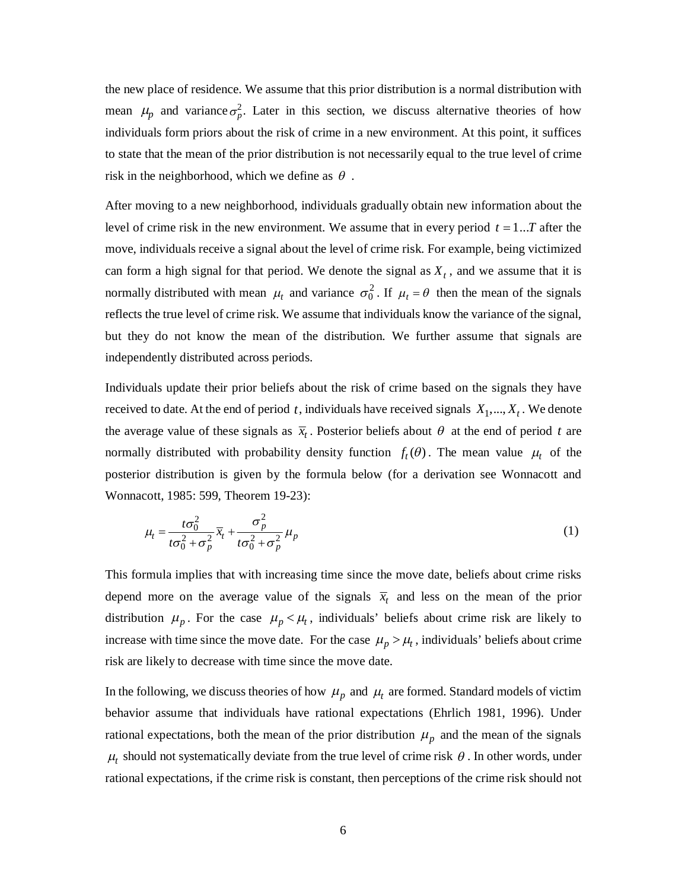the new place of residence. We assume that this prior distribution is a normal distribution with mean  $\mu_p$  and variance  $\sigma_p^2$ . Later in this section, we discuss alternative theories of how individuals form priors about the risk of crime in a new environment. At this point, it suffices to state that the mean of the prior distribution is not necessarily equal to the true level of crime risk in the neighborhood, which we define as  $\theta$ .

After moving to a new neighborhood, individuals gradually obtain new information about the level of crime risk in the new environment. We assume that in every period  $t = 1...T$  after the move, individuals receive a signal about the level of crime risk. For example, being victimized can form a high signal for that period. We denote the signal as  $X_t$ , and we assume that it is normally distributed with mean  $\mu_t$  and variance  $\sigma_0^2$ . If  $\mu_t = \theta$  then the mean of the signals reflects the true level of crime risk. We assume that individuals know the variance of the signal, but they do not know the mean of the distribution. We further assume that signals are independently distributed across periods.

Individuals update their prior beliefs about the risk of crime based on the signals they have received to date. At the end of period  $t$ , individuals have received signals  $X_1, ..., X_t$ . We denote the average value of these signals as  $\bar{x}_t$ . Posterior beliefs about  $\theta$  at the end of period *t* are normally distributed with probability density function  $f_t(\theta)$ . The mean value  $\mu_t$  of the posterior distribution is given by the formula below (for a derivation see Wonnacott and Wonnacott, 1985: 599, Theorem 19-23):

$$
\mu_t = \frac{t\sigma_0^2}{t\sigma_0^2 + \sigma_p^2} \overline{x}_t + \frac{\sigma_p^2}{t\sigma_0^2 + \sigma_p^2} \mu_p
$$
\n(1)

This formula implies that with increasing time since the move date, beliefs about crime risks depend more on the average value of the signals  $\bar{x}_t$  and less on the mean of the prior distribution  $\mu_p$ . For the case  $\mu_p < \mu_t$ , individuals' beliefs about crime risk are likely to increase with time since the move date. For the case  $\mu_p > \mu_t$ , individuals' beliefs about crime risk are likely to decrease with time since the move date.

In the following, we discuss theories of how  $\mu_p$  and  $\mu_t$  are formed. Standard models of victim behavior assume that individuals have rational expectations (Ehrlich 1981, 1996). Under rational expectations, both the mean of the prior distribution  $\mu_p$  and the mean of the signals  $\mu_t$  should not systematically deviate from the true level of crime risk  $\theta$ . In other words, under rational expectations, if the crime risk is constant, then perceptions of the crime risk should not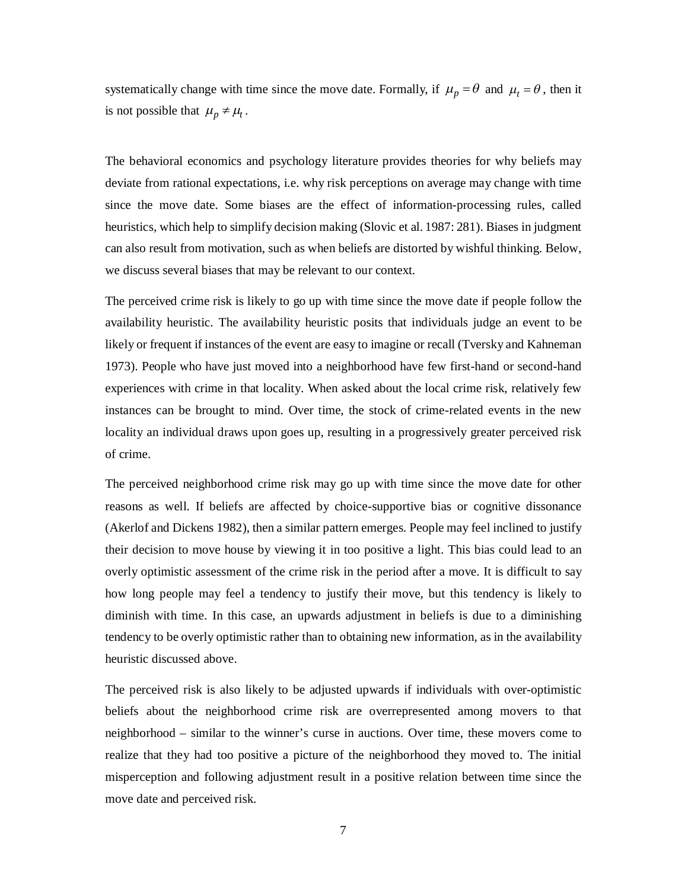systematically change with time since the move date. Formally, if  $\mu_p = \theta$  and  $\mu_t = \theta$ , then it is not possible that  $\mu_p \neq \mu_t$ .

The behavioral economics and psychology literature provides theories for why beliefs may deviate from rational expectations, i.e. why risk perceptions on average may change with time since the move date. Some biases are the effect of information-processing rules, called heuristics, which help to simplify decision making (Slovic et al. 1987: 281). Biases in judgment can also result from motivation, such as when beliefs are distorted by wishful thinking. Below, we discuss several biases that may be relevant to our context.

The perceived crime risk is likely to go up with time since the move date if people follow the availability heuristic. The availability heuristic posits that individuals judge an event to be likely or frequent if instances of the event are easy to imagine or recall (Tversky and Kahneman 1973). People who have just moved into a neighborhood have few first-hand or second-hand experiences with crime in that locality. When asked about the local crime risk, relatively few instances can be brought to mind. Over time, the stock of crime-related events in the new locality an individual draws upon goes up, resulting in a progressively greater perceived risk of crime.

The perceived neighborhood crime risk may go up with time since the move date for other reasons as well. If beliefs are affected by choice-supportive bias or cognitive dissonance (Akerlof and Dickens 1982), then a similar pattern emerges. People may feel inclined to justify their decision to move house by viewing it in too positive a light. This bias could lead to an overly optimistic assessment of the crime risk in the period after a move. It is difficult to say how long people may feel a tendency to justify their move, but this tendency is likely to diminish with time. In this case, an upwards adjustment in beliefs is due to a diminishing tendency to be overly optimistic rather than to obtaining new information, as in the availability heuristic discussed above.

The perceived risk is also likely to be adjusted upwards if individuals with over-optimistic beliefs about the neighborhood crime risk are overrepresented among movers to that neighborhood – similar to the winner's curse in auctions. Over time, these movers come to realize that they had too positive a picture of the neighborhood they moved to. The initial misperception and following adjustment result in a positive relation between time since the move date and perceived risk.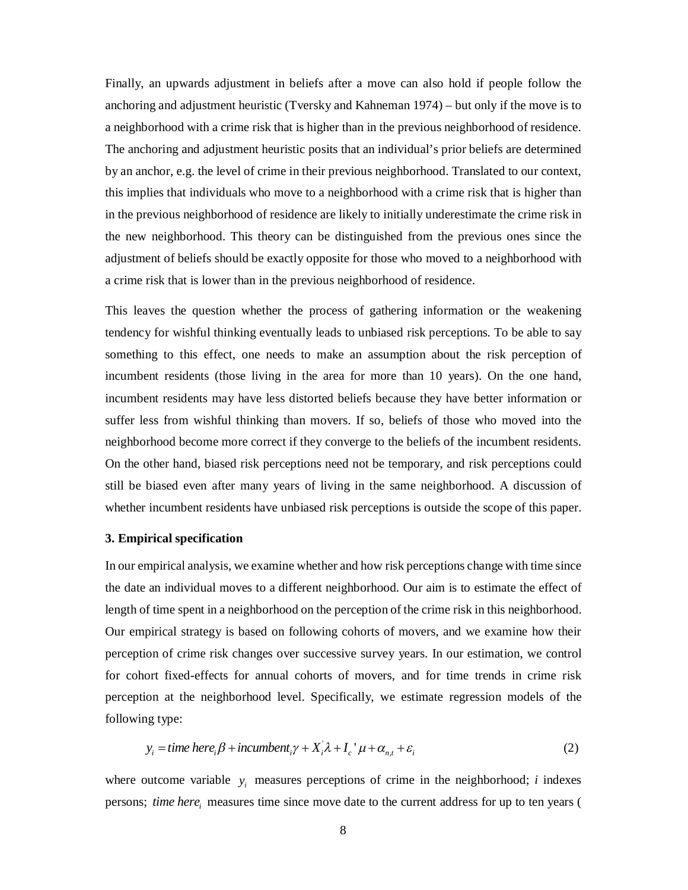Finally, an upwards adjustment in beliefs after a move can also hold if people follow the anchoring and adjustment heuristic (Tversky and Kahneman 1974) – but only if the move is to a neighborhood with a crime risk that is higher than in the previous neighborhood of residence. The anchoring and adjustment heuristic posits that an individual's prior beliefs are determined by an anchor, e.g. the level of crime in their previous neighborhood. Translated to our context, this implies that individuals who move to a neighborhood with a crime risk that is higher than in the previous neighborhood of residence are likely to initially underestimate the crime risk in the new neighborhood. This theory can be distinguished from the previous ones since the adjustment of beliefs should be exactly opposite for those who moved to a neighborhood with a crime risk that is lower than in the previous neighborhood of residence.

This leaves the question whether the process of gathering information or the weakening tendency for wishful thinking eventually leads to unbiased risk perceptions. To be able to say something to this effect, one needs to make an assumption about the risk perception of incumbent residents (those living in the area for more than 10 years). On the one hand, incumbent residents may have less distorted beliefs because they have better information or suffer less from wishful thinking than movers. If so, beliefs of those who moved into the neighborhood become more correct if they converge to the beliefs of the incumbent residents. On the other hand, biased risk perceptions need not be temporary, and risk perceptions could still be biased even after many years of living in the same neighborhood. A discussion of whether incumbent residents have unbiased risk perceptions is outside the scope of this paper.

#### **3. Empirical specification**

In our empirical analysis, we examine whether and how risk perceptions change with time since the date an individual moves to a different neighborhood. Our aim is to estimate the effect of length of time spent in a neighborhood on the perception of the crime risk in this neighborhood. Our empirical strategy is based on following cohorts of movers, and we examine how their perception of crime risk changes over successive survey years. In our estimation, we control for cohort fixed-effects for annual cohorts of movers, and for time trends in crime risk perception at the neighborhood level. Specifically, we estimate regression models of the following type:

$$
y_i = time \text{ } here_i \beta + incumbent_i \gamma + X_i \lambda + I_c^{\dagger} \mu + \alpha_{n,t} + \varepsilon_i
$$
 (2)

where outcome variable  $y_i$  measures perceptions of crime in the neighborhood; *i* indexes persons; *time here*<sub>*i*</sub> measures time since move date to the current address for up to ten years (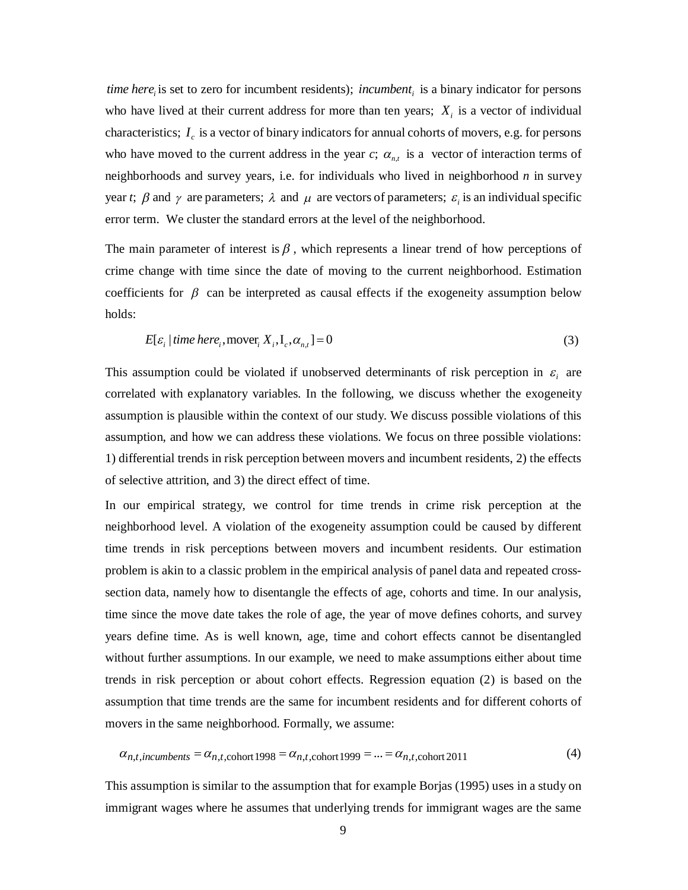*ime here*<sub>i</sub> is set to zero for incumbent residents); *incumbent*<sub>i</sub> is a binary indicator for persons who have lived at their current address for more than ten years;  $X_i$  is a vector of individual characteristics;  $I_c$  is a vector of binary indicators for annual cohorts of movers, e.g. for persons who have moved to the current address in the year  $c$ ;  $\alpha_{n,t}$  is a vector of interaction terms of neighborhoods and survey years, i.e. for individuals who lived in neighborhood *n* in survey year *t*;  $\beta$  and  $\gamma$  are parameters;  $\lambda$  and  $\mu$  are vectors of parameters;  $\varepsilon$ <sub>i</sub> is an individual specific error term. We cluster the standard errors at the level of the neighborhood.

The main parameter of interest is  $\beta$ , which represents a linear trend of how perceptions of crime change with time since the date of moving to the current neighborhood. Estimation coefficients for  $\beta$  can be interpreted as causal effects if the exogeneity assumption below holds:

$$
E[\varepsilon_i | \text{time here}_i, \text{move}_i X_i, I_c, \alpha_{n,t}] = 0 \tag{3}
$$

This assumption could be violated if unobserved determinants of risk perception in  $\varepsilon$ <sub>i</sub> are correlated with explanatory variables. In the following, we discuss whether the exogeneity assumption is plausible within the context of our study. We discuss possible violations of this assumption, and how we can address these violations. We focus on three possible violations: 1) differential trends in risk perception between movers and incumbent residents, 2) the effects of selective attrition, and 3) the direct effect of time.

In our empirical strategy, we control for time trends in crime risk perception at the neighborhood level. A violation of the exogeneity assumption could be caused by different time trends in risk perceptions between movers and incumbent residents. Our estimation problem is akin to a classic problem in the empirical analysis of panel data and repeated crosssection data, namely how to disentangle the effects of age, cohorts and time. In our analysis, time since the move date takes the role of age, the year of move defines cohorts, and survey years define time. As is well known, age, time and cohort effects cannot be disentangled without further assumptions. In our example, we need to make assumptions either about time trends in risk perception or about cohort effects. Regression equation (2) is based on the assumption that time trends are the same for incumbent residents and for different cohorts of movers in the same neighborhood. Formally, we assume:

$$
\alpha_{n,t,incumbents} = \alpha_{n,t,\text{cohort 1998}} = \alpha_{n,t,\text{cohort 1999}} = \dots = \alpha_{n,t,\text{cohort 2011}} \tag{4}
$$

This assumption is similar to the assumption that for example Borjas (1995) uses in a study on immigrant wages where he assumes that underlying trends for immigrant wages are the same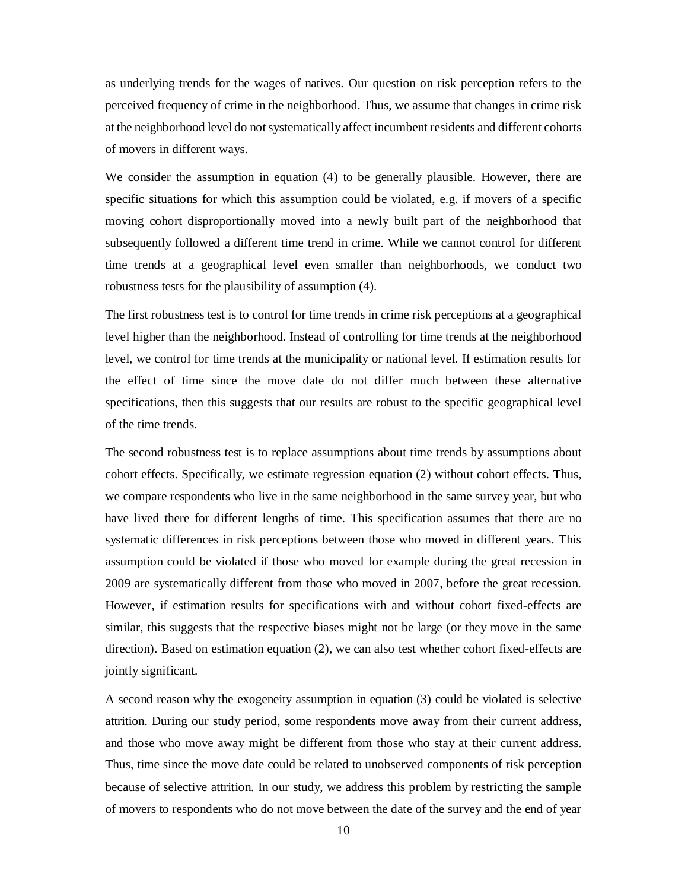as underlying trends for the wages of natives. Our question on risk perception refers to the perceived frequency of crime in the neighborhood. Thus, we assume that changes in crime risk at the neighborhood level do not systematically affect incumbent residents and different cohorts of movers in different ways.

We consider the assumption in equation (4) to be generally plausible. However, there are specific situations for which this assumption could be violated, e.g. if movers of a specific moving cohort disproportionally moved into a newly built part of the neighborhood that subsequently followed a different time trend in crime. While we cannot control for different time trends at a geographical level even smaller than neighborhoods, we conduct two robustness tests for the plausibility of assumption (4).

The first robustness test is to control for time trends in crime risk perceptions at a geographical level higher than the neighborhood. Instead of controlling for time trends at the neighborhood level, we control for time trends at the municipality or national level. If estimation results for the effect of time since the move date do not differ much between these alternative specifications, then this suggests that our results are robust to the specific geographical level of the time trends.

The second robustness test is to replace assumptions about time trends by assumptions about cohort effects. Specifically, we estimate regression equation (2) without cohort effects. Thus, we compare respondents who live in the same neighborhood in the same survey year, but who have lived there for different lengths of time. This specification assumes that there are no systematic differences in risk perceptions between those who moved in different years. This assumption could be violated if those who moved for example during the great recession in 2009 are systematically different from those who moved in 2007, before the great recession. However, if estimation results for specifications with and without cohort fixed-effects are similar, this suggests that the respective biases might not be large (or they move in the same direction). Based on estimation equation (2), we can also test whether cohort fixed-effects are jointly significant.

A second reason why the exogeneity assumption in equation (3) could be violated is selective attrition. During our study period, some respondents move away from their current address, and those who move away might be different from those who stay at their current address. Thus, time since the move date could be related to unobserved components of risk perception because of selective attrition. In our study, we address this problem by restricting the sample of movers to respondents who do not move between the date of the survey and the end of year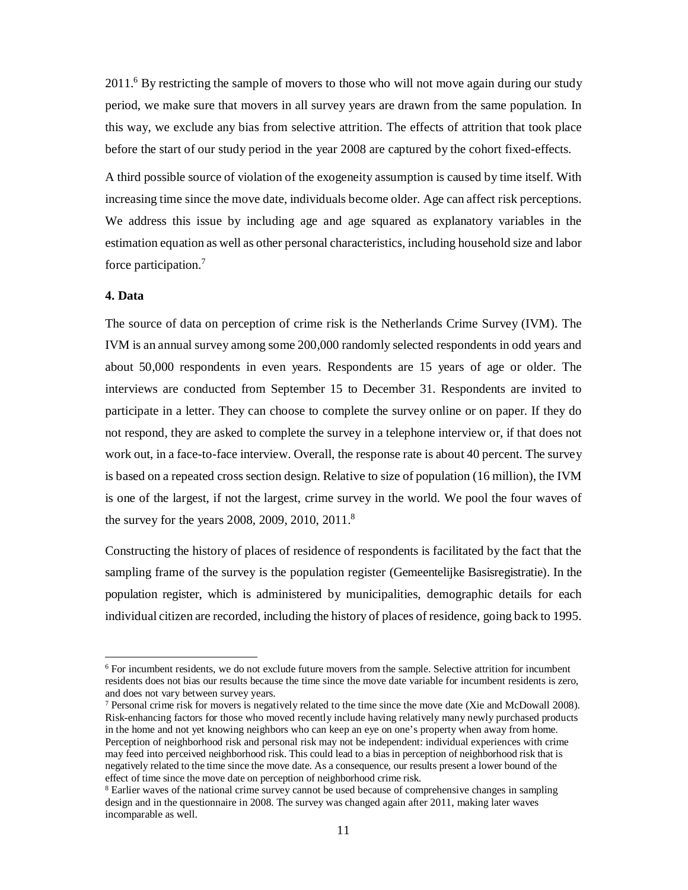2011.<sup>6</sup> By restricting the sample of movers to those who will not move again during our study period, we make sure that movers in all survey years are drawn from the same population. In this way, we exclude any bias from selective attrition. The effects of attrition that took place before the start of our study period in the year 2008 are captured by the cohort fixed-effects.

A third possible source of violation of the exogeneity assumption is caused by time itself. With increasing time since the move date, individuals become older. Age can affect risk perceptions. We address this issue by including age and age squared as explanatory variables in the estimation equation as well as other personal characteristics, including household size and labor force participation.<sup>7</sup>

#### **4. Data**

 $\overline{a}$ 

The source of data on perception of crime risk is the Netherlands Crime Survey (IVM). The IVM is an annual survey among some 200,000 randomly selected respondents in odd years and about 50,000 respondents in even years. Respondents are 15 years of age or older. The interviews are conducted from September 15 to December 31. Respondents are invited to participate in a letter. They can choose to complete the survey online or on paper. If they do not respond, they are asked to complete the survey in a telephone interview or, if that does not work out, in a face-to-face interview. Overall, the response rate is about 40 percent. The survey is based on a repeated cross section design. Relative to size of population (16 million), the IVM is one of the largest, if not the largest, crime survey in the world. We pool the four waves of the survey for the years 2008, 2009, 2010, 2011.<sup>8</sup>

Constructing the history of places of residence of respondents is facilitated by the fact that the sampling frame of the survey is the population register (Gemeentelijke Basisregistratie). In the population register, which is administered by municipalities, demographic details for each individual citizen are recorded, including the history of places of residence, going back to 1995.

<sup>6</sup> For incumbent residents, we do not exclude future movers from the sample. Selective attrition for incumbent residents does not bias our results because the time since the move date variable for incumbent residents is zero, and does not vary between survey years.

 $7$  Personal crime risk for movers is negatively related to the time since the move date (Xie and McDowall 2008). Risk-enhancing factors for those who moved recently include having relatively many newly purchased products in the home and not yet knowing neighbors who can keep an eye on one's property when away from home. Perception of neighborhood risk and personal risk may not be independent: individual experiences with crime may feed into perceived neighborhood risk. This could lead to a bias in perception of neighborhood risk that is negatively related to the time since the move date. As a consequence, our results present a lower bound of the effect of time since the move date on perception of neighborhood crime risk.

<sup>&</sup>lt;sup>8</sup> Earlier waves of the national crime survey cannot be used because of comprehensive changes in sampling design and in the questionnaire in 2008. The survey was changed again after 2011, making later waves incomparable as well.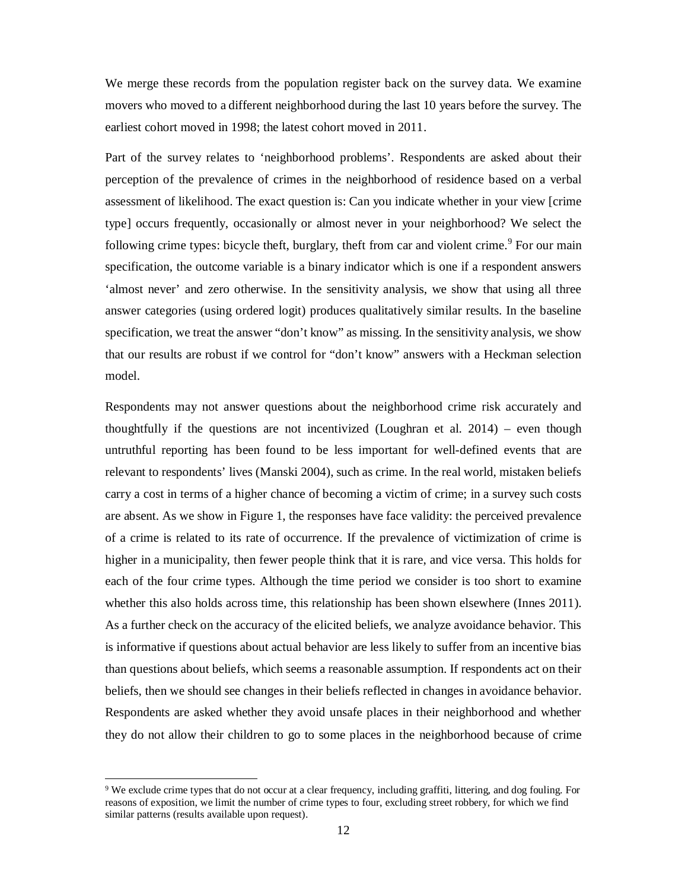We merge these records from the population register back on the survey data. We examine movers who moved to a different neighborhood during the last 10 years before the survey. The earliest cohort moved in 1998; the latest cohort moved in 2011.

Part of the survey relates to 'neighborhood problems'. Respondents are asked about their perception of the prevalence of crimes in the neighborhood of residence based on a verbal assessment of likelihood. The exact question is: Can you indicate whether in your view [crime type] occurs frequently, occasionally or almost never in your neighborhood? We select the following crime types: bicycle theft, burglary, theft from car and violent crime.<sup>9</sup> For our main specification, the outcome variable is a binary indicator which is one if a respondent answers 'almost never' and zero otherwise. In the sensitivity analysis, we show that using all three answer categories (using ordered logit) produces qualitatively similar results. In the baseline specification, we treat the answer "don't know" as missing. In the sensitivity analysis, we show that our results are robust if we control for "don't know" answers with a Heckman selection model.

Respondents may not answer questions about the neighborhood crime risk accurately and thoughtfully if the questions are not incentivized (Loughran et al. 2014) – even though untruthful reporting has been found to be less important for well-defined events that are relevant to respondents' lives (Manski 2004), such as crime. In the real world, mistaken beliefs carry a cost in terms of a higher chance of becoming a victim of crime; in a survey such costs are absent. As we show in Figure 1, the responses have face validity: the perceived prevalence of a crime is related to its rate of occurrence. If the prevalence of victimization of crime is higher in a municipality, then fewer people think that it is rare, and vice versa. This holds for each of the four crime types. Although the time period we consider is too short to examine whether this also holds across time, this relationship has been shown elsewhere (Innes 2011). As a further check on the accuracy of the elicited beliefs, we analyze avoidance behavior. This is informative if questions about actual behavior are less likely to suffer from an incentive bias than questions about beliefs, which seems a reasonable assumption. If respondents act on their beliefs, then we should see changes in their beliefs reflected in changes in avoidance behavior. Respondents are asked whether they avoid unsafe places in their neighborhood and whether they do not allow their children to go to some places in the neighborhood because of crime

<sup>9</sup> We exclude crime types that do not occur at a clear frequency, including graffiti, littering, and dog fouling. For reasons of exposition, we limit the number of crime types to four, excluding street robbery, for which we find similar patterns (results available upon request).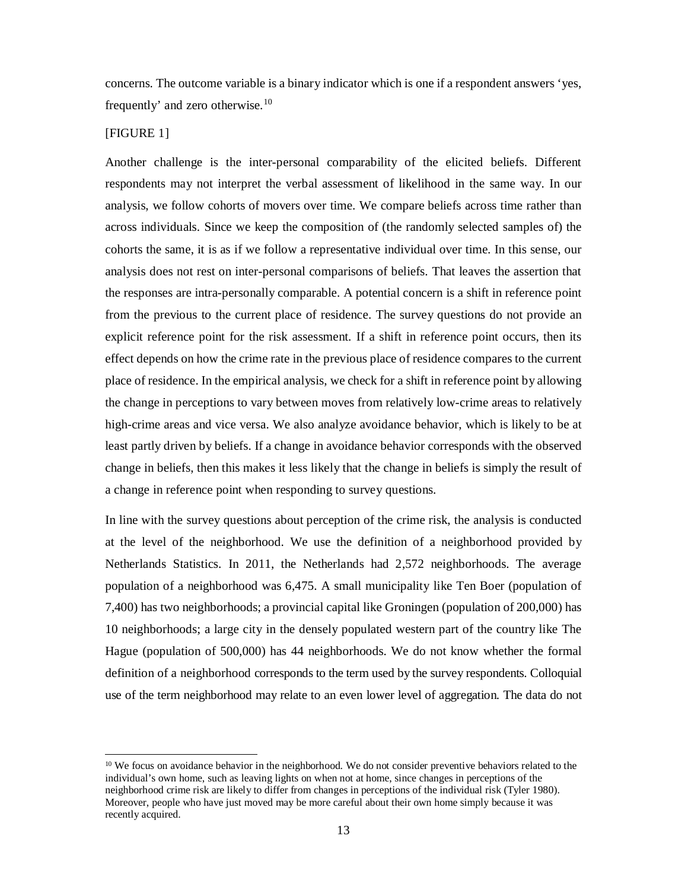concerns. The outcome variable is a binary indicator which is one if a respondent answers 'yes, frequently' and zero otherwise. $10$ 

#### [FIGURE 1]

-

Another challenge is the inter-personal comparability of the elicited beliefs. Different respondents may not interpret the verbal assessment of likelihood in the same way. In our analysis, we follow cohorts of movers over time. We compare beliefs across time rather than across individuals. Since we keep the composition of (the randomly selected samples of) the cohorts the same, it is as if we follow a representative individual over time. In this sense, our analysis does not rest on inter-personal comparisons of beliefs. That leaves the assertion that the responses are intra-personally comparable. A potential concern is a shift in reference point from the previous to the current place of residence. The survey questions do not provide an explicit reference point for the risk assessment. If a shift in reference point occurs, then its effect depends on how the crime rate in the previous place of residence compares to the current place of residence. In the empirical analysis, we check for a shift in reference point by allowing the change in perceptions to vary between moves from relatively low-crime areas to relatively high-crime areas and vice versa. We also analyze avoidance behavior, which is likely to be at least partly driven by beliefs. If a change in avoidance behavior corresponds with the observed change in beliefs, then this makes it less likely that the change in beliefs is simply the result of a change in reference point when responding to survey questions.

In line with the survey questions about perception of the crime risk, the analysis is conducted at the level of the neighborhood. We use the definition of a neighborhood provided by Netherlands Statistics. In 2011, the Netherlands had 2,572 neighborhoods. The average population of a neighborhood was 6,475. A small municipality like Ten Boer (population of 7,400) has two neighborhoods; a provincial capital like Groningen (population of 200,000) has 10 neighborhoods; a large city in the densely populated western part of the country like The Hague (population of 500,000) has 44 neighborhoods. We do not know whether the formal definition of a neighborhood corresponds to the term used by the survey respondents. Colloquial use of the term neighborhood may relate to an even lower level of aggregation. The data do not

<sup>&</sup>lt;sup>10</sup> We focus on avoidance behavior in the neighborhood. We do not consider preventive behaviors related to the individual's own home, such as leaving lights on when not at home, since changes in perceptions of the neighborhood crime risk are likely to differ from changes in perceptions of the individual risk (Tyler 1980). Moreover, people who have just moved may be more careful about their own home simply because it was recently acquired.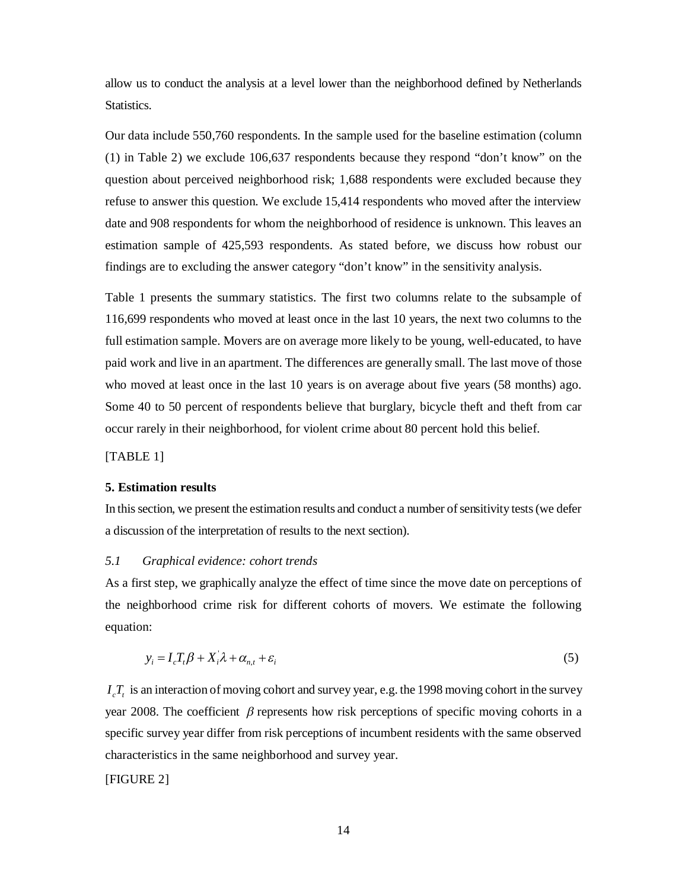allow us to conduct the analysis at a level lower than the neighborhood defined by Netherlands Statistics.

Our data include 550,760 respondents. In the sample used for the baseline estimation (column (1) in Table 2) we exclude 106,637 respondents because they respond "don't know" on the question about perceived neighborhood risk; 1,688 respondents were excluded because they refuse to answer this question. We exclude 15,414 respondents who moved after the interview date and 908 respondents for whom the neighborhood of residence is unknown. This leaves an estimation sample of 425,593 respondents. As stated before, we discuss how robust our findings are to excluding the answer category "don't know" in the sensitivity analysis.

Table 1 presents the summary statistics. The first two columns relate to the subsample of 116,699 respondents who moved at least once in the last 10 years, the next two columns to the full estimation sample. Movers are on average more likely to be young, well-educated, to have paid work and live in an apartment. The differences are generally small. The last move of those who moved at least once in the last 10 years is on average about five years (58 months) ago. Some 40 to 50 percent of respondents believe that burglary, bicycle theft and theft from car occur rarely in their neighborhood, for violent crime about 80 percent hold this belief.

[TABLE 1]

#### **5. Estimation results**

In this section, we present the estimation results and conduct a number of sensitivity tests (we defer a discussion of the interpretation of results to the next section).

#### *5.1 Graphical evidence: cohort trends*

As a first step, we graphically analyze the effect of time since the move date on perceptions of the neighborhood crime risk for different cohorts of movers. We estimate the following equation:

$$
y_i = I_c T_t \beta + X_i \lambda + \alpha_{n,t} + \varepsilon_i
$$
\n<sup>(5)</sup>

 $I_c T_t$  is an interaction of moving cohort and survey year, e.g. the 1998 moving cohort in the survey year 2008. The coefficient  $\beta$  represents how risk perceptions of specific moving cohorts in a specific survey year differ from risk perceptions of incumbent residents with the same observed characteristics in the same neighborhood and survey year.

[FIGURE 2]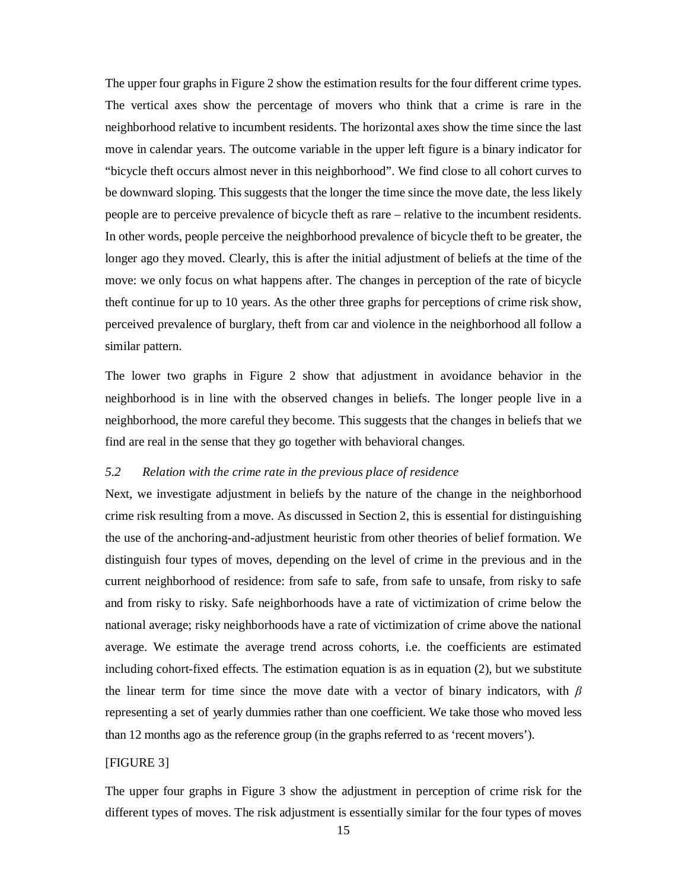The upper four graphs in Figure 2 show the estimation results for the four different crime types. The vertical axes show the percentage of movers who think that a crime is rare in the neighborhood relative to incumbent residents. The horizontal axes show the time since the last move in calendar years. The outcome variable in the upper left figure is a binary indicator for "bicycle theft occurs almost never in this neighborhood". We find close to all cohort curves to be downward sloping. This suggests that the longer the time since the move date, the less likely people are to perceive prevalence of bicycle theft as rare – relative to the incumbent residents. In other words, people perceive the neighborhood prevalence of bicycle theft to be greater, the longer ago they moved. Clearly, this is after the initial adjustment of beliefs at the time of the move: we only focus on what happens after. The changes in perception of the rate of bicycle theft continue for up to 10 years. As the other three graphs for perceptions of crime risk show, perceived prevalence of burglary, theft from car and violence in the neighborhood all follow a similar pattern.

The lower two graphs in Figure 2 show that adjustment in avoidance behavior in the neighborhood is in line with the observed changes in beliefs. The longer people live in a neighborhood, the more careful they become. This suggests that the changes in beliefs that we find are real in the sense that they go together with behavioral changes.

#### *5.2 Relation with the crime rate in the previous place of residence*

Next, we investigate adjustment in beliefs by the nature of the change in the neighborhood crime risk resulting from a move. As discussed in Section 2, this is essential for distinguishing the use of the anchoring-and-adjustment heuristic from other theories of belief formation. We distinguish four types of moves, depending on the level of crime in the previous and in the current neighborhood of residence: from safe to safe, from safe to unsafe, from risky to safe and from risky to risky. Safe neighborhoods have a rate of victimization of crime below the national average; risky neighborhoods have a rate of victimization of crime above the national average. We estimate the average trend across cohorts, i.e. the coefficients are estimated including cohort-fixed effects. The estimation equation is as in equation (2), but we substitute the linear term for time since the move date with a vector of binary indicators, with *β* representing a set of yearly dummies rather than one coefficient. We take those who moved less than 12 months ago as the reference group (in the graphs referred to as 'recent movers').

#### [FIGURE 3]

The upper four graphs in Figure 3 show the adjustment in perception of crime risk for the different types of moves. The risk adjustment is essentially similar for the four types of moves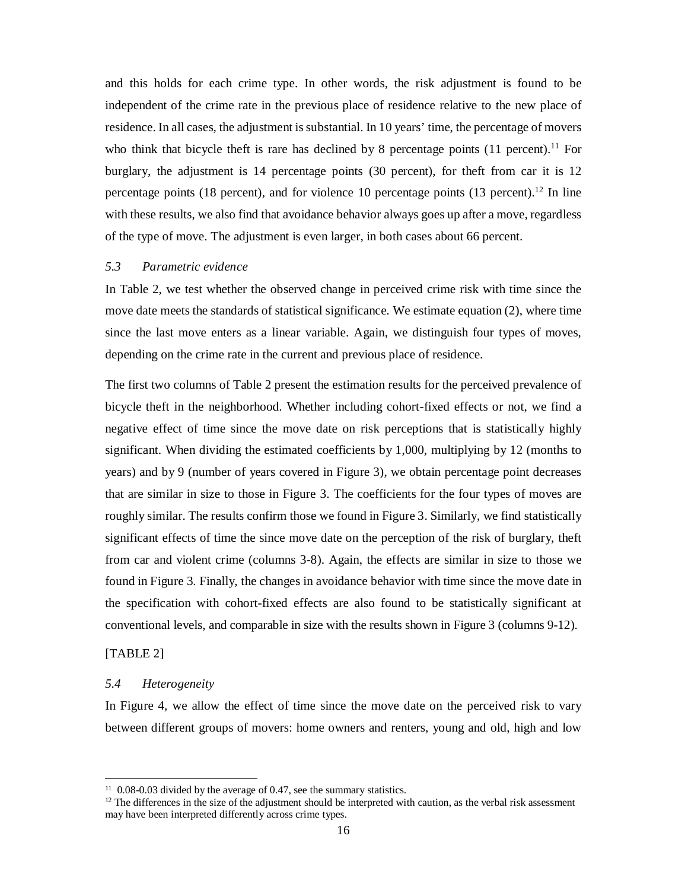and this holds for each crime type. In other words, the risk adjustment is found to be independent of the crime rate in the previous place of residence relative to the new place of residence. In all cases, the adjustment is substantial. In 10 years' time, the percentage of movers who think that bicycle theft is rare has declined by 8 percentage points  $(11 \text{ percent})$ .<sup>11</sup> For burglary, the adjustment is 14 percentage points (30 percent), for theft from car it is 12 percentage points (18 percent), and for violence 10 percentage points (13 percent).<sup>12</sup> In line with these results, we also find that avoidance behavior always goes up after a move, regardless of the type of move. The adjustment is even larger, in both cases about 66 percent.

#### *5.3 Parametric evidence*

In Table 2, we test whether the observed change in perceived crime risk with time since the move date meets the standards of statistical significance. We estimate equation (2), where time since the last move enters as a linear variable. Again, we distinguish four types of moves, depending on the crime rate in the current and previous place of residence.

The first two columns of Table 2 present the estimation results for the perceived prevalence of bicycle theft in the neighborhood. Whether including cohort-fixed effects or not, we find a negative effect of time since the move date on risk perceptions that is statistically highly significant. When dividing the estimated coefficients by 1,000, multiplying by 12 (months to years) and by 9 (number of years covered in Figure 3), we obtain percentage point decreases that are similar in size to those in Figure 3. The coefficients for the four types of moves are roughly similar. The results confirm those we found in Figure 3. Similarly, we find statistically significant effects of time the since move date on the perception of the risk of burglary, theft from car and violent crime (columns 3-8). Again, the effects are similar in size to those we found in Figure 3. Finally, the changes in avoidance behavior with time since the move date in the specification with cohort-fixed effects are also found to be statistically significant at conventional levels, and comparable in size with the results shown in Figure 3 (columns 9-12).

#### [TABLE 2]

-

#### *5.4 Heterogeneity*

In Figure 4, we allow the effect of time since the move date on the perceived risk to vary between different groups of movers: home owners and renters, young and old, high and low

<sup>&</sup>lt;sup>11</sup> 0.08-0.03 divided by the average of 0.47, see the summary statistics.

 $12$  The differences in the size of the adjustment should be interpreted with caution, as the verbal risk assessment may have been interpreted differently across crime types.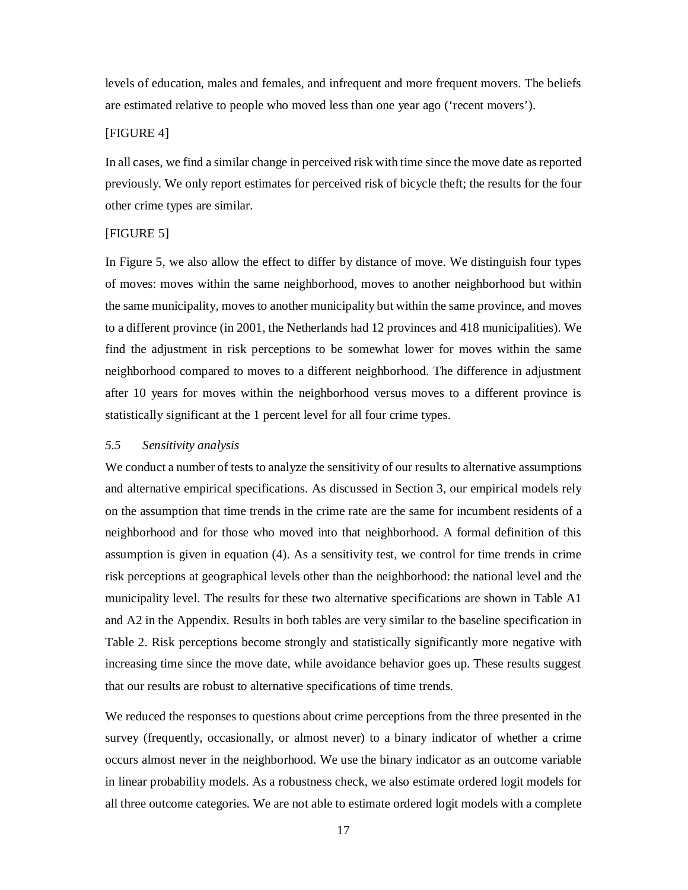levels of education, males and females, and infrequent and more frequent movers. The beliefs are estimated relative to people who moved less than one year ago ('recent movers').

#### [FIGURE 4]

In all cases, we find a similar change in perceived risk with time since the move date as reported previously. We only report estimates for perceived risk of bicycle theft; the results for the four other crime types are similar.

#### [FIGURE 5]

In Figure 5, we also allow the effect to differ by distance of move. We distinguish four types of moves: moves within the same neighborhood, moves to another neighborhood but within the same municipality, moves to another municipality but within the same province, and moves to a different province (in 2001, the Netherlands had 12 provinces and 418 municipalities). We find the adjustment in risk perceptions to be somewhat lower for moves within the same neighborhood compared to moves to a different neighborhood. The difference in adjustment after 10 years for moves within the neighborhood versus moves to a different province is statistically significant at the 1 percent level for all four crime types.

#### *5.5 Sensitivity analysis*

We conduct a number of tests to analyze the sensitivity of our results to alternative assumptions and alternative empirical specifications. As discussed in Section 3, our empirical models rely on the assumption that time trends in the crime rate are the same for incumbent residents of a neighborhood and for those who moved into that neighborhood. A formal definition of this assumption is given in equation (4). As a sensitivity test, we control for time trends in crime risk perceptions at geographical levels other than the neighborhood: the national level and the municipality level. The results for these two alternative specifications are shown in Table A1 and A2 in the Appendix. Results in both tables are very similar to the baseline specification in Table 2. Risk perceptions become strongly and statistically significantly more negative with increasing time since the move date, while avoidance behavior goes up. These results suggest that our results are robust to alternative specifications of time trends.

We reduced the responses to questions about crime perceptions from the three presented in the survey (frequently, occasionally, or almost never) to a binary indicator of whether a crime occurs almost never in the neighborhood. We use the binary indicator as an outcome variable in linear probability models. As a robustness check, we also estimate ordered logit models for all three outcome categories. We are not able to estimate ordered logit models with a complete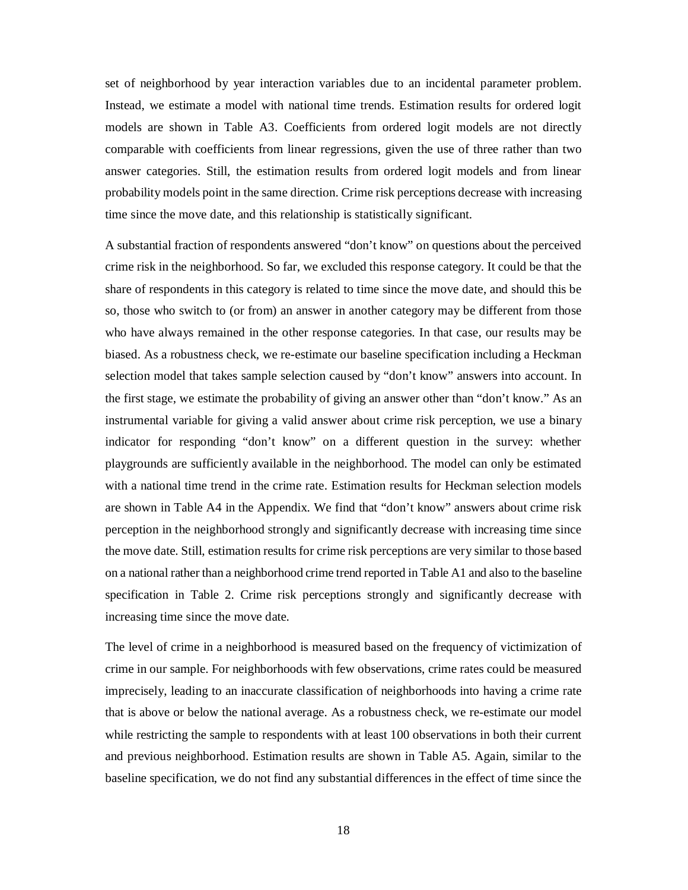set of neighborhood by year interaction variables due to an incidental parameter problem. Instead, we estimate a model with national time trends. Estimation results for ordered logit models are shown in Table A3. Coefficients from ordered logit models are not directly comparable with coefficients from linear regressions, given the use of three rather than two answer categories. Still, the estimation results from ordered logit models and from linear probability models point in the same direction. Crime risk perceptions decrease with increasing time since the move date, and this relationship is statistically significant.

A substantial fraction of respondents answered "don't know" on questions about the perceived crime risk in the neighborhood. So far, we excluded this response category. It could be that the share of respondents in this category is related to time since the move date, and should this be so, those who switch to (or from) an answer in another category may be different from those who have always remained in the other response categories. In that case, our results may be biased. As a robustness check, we re-estimate our baseline specification including a Heckman selection model that takes sample selection caused by "don't know" answers into account. In the first stage, we estimate the probability of giving an answer other than "don't know." As an instrumental variable for giving a valid answer about crime risk perception, we use a binary indicator for responding "don't know" on a different question in the survey: whether playgrounds are sufficiently available in the neighborhood. The model can only be estimated with a national time trend in the crime rate. Estimation results for Heckman selection models are shown in Table A4 in the Appendix. We find that "don't know" answers about crime risk perception in the neighborhood strongly and significantly decrease with increasing time since the move date. Still, estimation results for crime risk perceptions are very similar to those based on a national rather than a neighborhood crime trend reported in Table A1 and also to the baseline specification in Table 2. Crime risk perceptions strongly and significantly decrease with increasing time since the move date.

The level of crime in a neighborhood is measured based on the frequency of victimization of crime in our sample. For neighborhoods with few observations, crime rates could be measured imprecisely, leading to an inaccurate classification of neighborhoods into having a crime rate that is above or below the national average. As a robustness check, we re-estimate our model while restricting the sample to respondents with at least 100 observations in both their current and previous neighborhood. Estimation results are shown in Table A5. Again, similar to the baseline specification, we do not find any substantial differences in the effect of time since the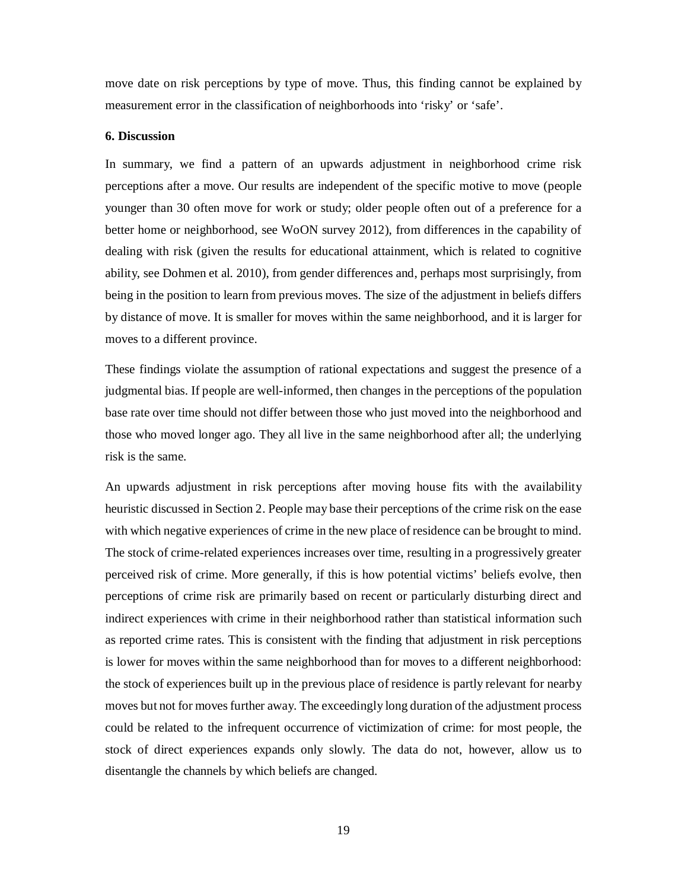move date on risk perceptions by type of move. Thus, this finding cannot be explained by measurement error in the classification of neighborhoods into 'risky' or 'safe'.

#### **6. Discussion**

In summary, we find a pattern of an upwards adjustment in neighborhood crime risk perceptions after a move. Our results are independent of the specific motive to move (people younger than 30 often move for work or study; older people often out of a preference for a better home or neighborhood, see WoON survey 2012), from differences in the capability of dealing with risk (given the results for educational attainment, which is related to cognitive ability, see Dohmen et al. 2010), from gender differences and, perhaps most surprisingly, from being in the position to learn from previous moves. The size of the adjustment in beliefs differs by distance of move. It is smaller for moves within the same neighborhood, and it is larger for moves to a different province.

These findings violate the assumption of rational expectations and suggest the presence of a judgmental bias. If people are well-informed, then changes in the perceptions of the population base rate over time should not differ between those who just moved into the neighborhood and those who moved longer ago. They all live in the same neighborhood after all; the underlying risk is the same.

An upwards adjustment in risk perceptions after moving house fits with the availability heuristic discussed in Section 2. People may base their perceptions of the crime risk on the ease with which negative experiences of crime in the new place of residence can be brought to mind. The stock of crime-related experiences increases over time, resulting in a progressively greater perceived risk of crime. More generally, if this is how potential victims' beliefs evolve, then perceptions of crime risk are primarily based on recent or particularly disturbing direct and indirect experiences with crime in their neighborhood rather than statistical information such as reported crime rates. This is consistent with the finding that adjustment in risk perceptions is lower for moves within the same neighborhood than for moves to a different neighborhood: the stock of experiences built up in the previous place of residence is partly relevant for nearby moves but not for moves further away. The exceedingly long duration of the adjustment process could be related to the infrequent occurrence of victimization of crime: for most people, the stock of direct experiences expands only slowly. The data do not, however, allow us to disentangle the channels by which beliefs are changed.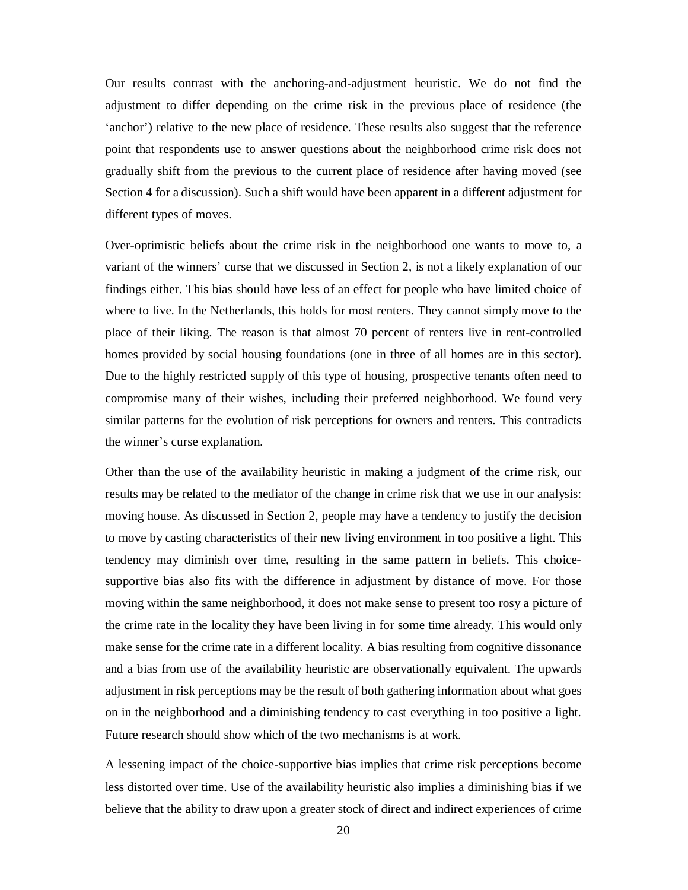Our results contrast with the anchoring-and-adjustment heuristic. We do not find the adjustment to differ depending on the crime risk in the previous place of residence (the 'anchor') relative to the new place of residence. These results also suggest that the reference point that respondents use to answer questions about the neighborhood crime risk does not gradually shift from the previous to the current place of residence after having moved (see Section 4 for a discussion). Such a shift would have been apparent in a different adjustment for different types of moves.

Over-optimistic beliefs about the crime risk in the neighborhood one wants to move to, a variant of the winners' curse that we discussed in Section 2, is not a likely explanation of our findings either. This bias should have less of an effect for people who have limited choice of where to live. In the Netherlands, this holds for most renters. They cannot simply move to the place of their liking. The reason is that almost 70 percent of renters live in rent-controlled homes provided by social housing foundations (one in three of all homes are in this sector). Due to the highly restricted supply of this type of housing, prospective tenants often need to compromise many of their wishes, including their preferred neighborhood. We found very similar patterns for the evolution of risk perceptions for owners and renters. This contradicts the winner's curse explanation.

Other than the use of the availability heuristic in making a judgment of the crime risk, our results may be related to the mediator of the change in crime risk that we use in our analysis: moving house. As discussed in Section 2, people may have a tendency to justify the decision to move by casting characteristics of their new living environment in too positive a light. This tendency may diminish over time, resulting in the same pattern in beliefs. This choicesupportive bias also fits with the difference in adjustment by distance of move. For those moving within the same neighborhood, it does not make sense to present too rosy a picture of the crime rate in the locality they have been living in for some time already. This would only make sense for the crime rate in a different locality. A bias resulting from cognitive dissonance and a bias from use of the availability heuristic are observationally equivalent. The upwards adjustment in risk perceptions may be the result of both gathering information about what goes on in the neighborhood and a diminishing tendency to cast everything in too positive a light. Future research should show which of the two mechanisms is at work.

A lessening impact of the choice-supportive bias implies that crime risk perceptions become less distorted over time. Use of the availability heuristic also implies a diminishing bias if we believe that the ability to draw upon a greater stock of direct and indirect experiences of crime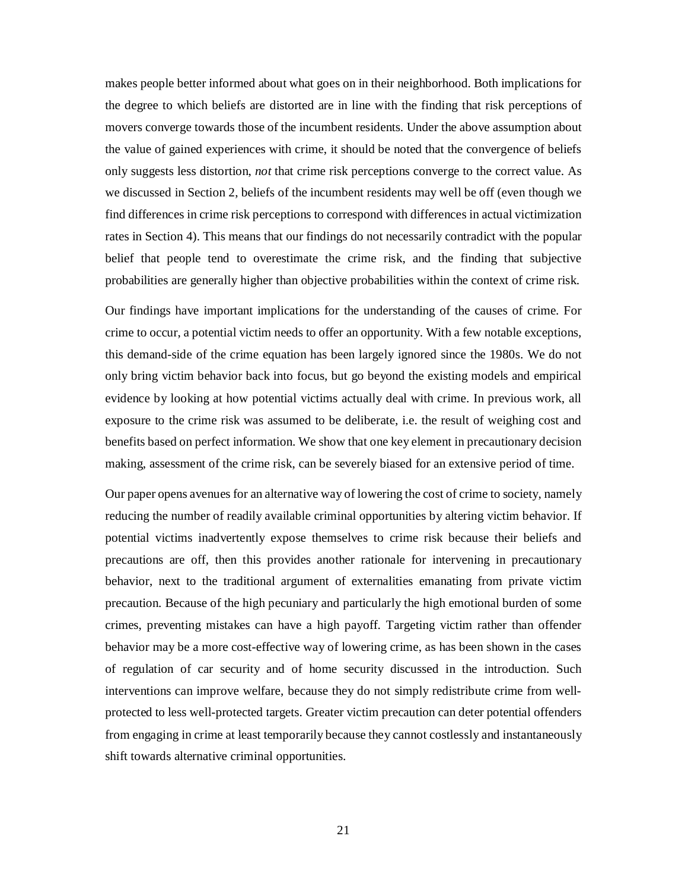makes people better informed about what goes on in their neighborhood. Both implications for the degree to which beliefs are distorted are in line with the finding that risk perceptions of movers converge towards those of the incumbent residents. Under the above assumption about the value of gained experiences with crime, it should be noted that the convergence of beliefs only suggests less distortion, *not* that crime risk perceptions converge to the correct value. As we discussed in Section 2, beliefs of the incumbent residents may well be off (even though we find differences in crime risk perceptions to correspond with differences in actual victimization rates in Section 4). This means that our findings do not necessarily contradict with the popular belief that people tend to overestimate the crime risk, and the finding that subjective probabilities are generally higher than objective probabilities within the context of crime risk.

Our findings have important implications for the understanding of the causes of crime. For crime to occur, a potential victim needs to offer an opportunity. With a few notable exceptions, this demand-side of the crime equation has been largely ignored since the 1980s. We do not only bring victim behavior back into focus, but go beyond the existing models and empirical evidence by looking at how potential victims actually deal with crime. In previous work, all exposure to the crime risk was assumed to be deliberate, i.e. the result of weighing cost and benefits based on perfect information. We show that one key element in precautionary decision making, assessment of the crime risk, can be severely biased for an extensive period of time.

Our paper opens avenues for an alternative way of lowering the cost of crime to society, namely reducing the number of readily available criminal opportunities by altering victim behavior. If potential victims inadvertently expose themselves to crime risk because their beliefs and precautions are off, then this provides another rationale for intervening in precautionary behavior, next to the traditional argument of externalities emanating from private victim precaution. Because of the high pecuniary and particularly the high emotional burden of some crimes, preventing mistakes can have a high payoff. Targeting victim rather than offender behavior may be a more cost-effective way of lowering crime, as has been shown in the cases of regulation of car security and of home security discussed in the introduction. Such interventions can improve welfare, because they do not simply redistribute crime from wellprotected to less well-protected targets. Greater victim precaution can deter potential offenders from engaging in crime at least temporarily because they cannot costlessly and instantaneously shift towards alternative criminal opportunities.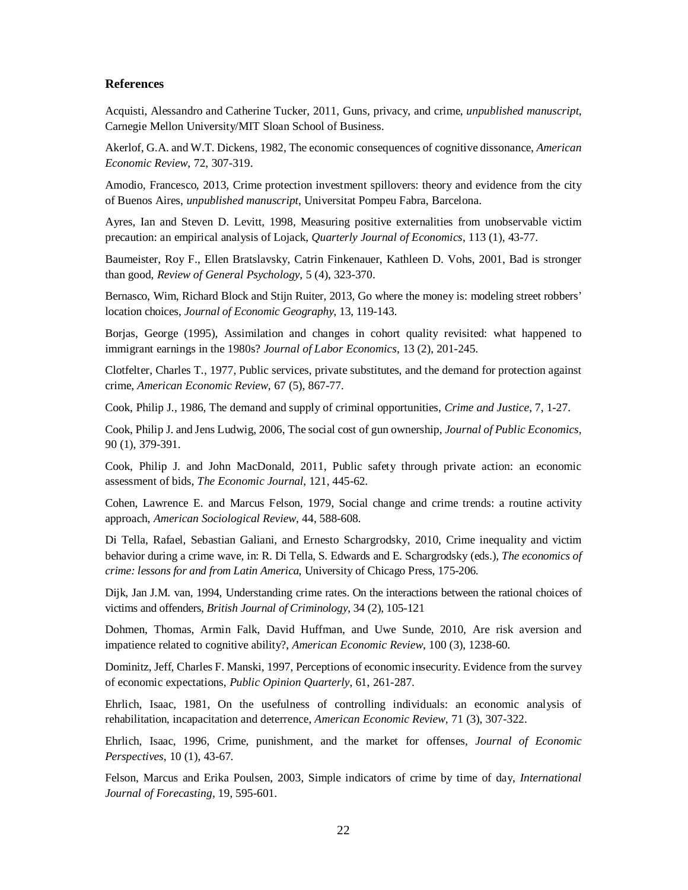#### **References**

Acquisti, Alessandro and Catherine Tucker, 2011, Guns, privacy, and crime, *unpublished manuscript*, Carnegie Mellon University/MIT Sloan School of Business.

Akerlof, G.A. and W.T. Dickens, 1982, The economic consequences of cognitive dissonance, *American Economic Review*, 72, 307-319.

Amodio, Francesco, 2013, Crime protection investment spillovers: theory and evidence from the city of Buenos Aires, *unpublished manuscript*, Universitat Pompeu Fabra, Barcelona.

Ayres, Ian and Steven D. Levitt, 1998, Measuring positive externalities from unobservable victim precaution: an empirical analysis of Lojack, *Quarterly Journal of Economics*, 113 (1), 43-77.

Baumeister, Roy F., Ellen Bratslavsky, Catrin Finkenauer, Kathleen D. Vohs, 2001, Bad is stronger than good, *Review of General Psychology*, 5 (4), 323-370.

Bernasco, Wim, Richard Block and Stijn Ruiter, 2013, Go where the money is: modeling street robbers' location choices, *Journal of Economic Geography*, 13, 119-143.

Borjas, George (1995), Assimilation and changes in cohort quality revisited: what happened to immigrant earnings in the 1980s? *Journal of Labor Economics*, 13 (2), 201-245.

Clotfelter, Charles T., 1977, Public services, private substitutes, and the demand for protection against crime, *American Economic Review*, 67 (5), 867-77.

Cook, Philip J., 1986, The demand and supply of criminal opportunities, *Crime and Justice*, 7, 1-27.

Cook, Philip J. and Jens Ludwig, 2006, The social cost of gun ownership, *Journal of Public Economics*, 90 (1), 379-391.

Cook, Philip J. and John MacDonald, 2011, Public safety through private action: an economic assessment of bids, *The Economic Journal*, 121, 445-62.

Cohen, Lawrence E. and Marcus Felson, 1979, Social change and crime trends: a routine activity approach, *American Sociological Review*, 44, 588-608.

Di Tella, Rafael, Sebastian Galiani, and Ernesto Schargrodsky, 2010, Crime inequality and victim behavior during a crime wave, in: R. Di Tella, S. Edwards and E. Schargrodsky (eds.), *The economics of crime: lessons for and from Latin America*, University of Chicago Press, 175-206.

Dijk, Jan J.M. van, 1994, Understanding crime rates. On the interactions between the rational choices of victims and offenders, *British Journal of Criminology*, 34 (2), 105-121

Dohmen, Thomas, Armin Falk, David Huffman, and Uwe Sunde, 2010, Are risk aversion and impatience related to cognitive ability?, *American Economic Review*, 100 (3), 1238-60.

Dominitz, Jeff, Charles F. Manski, 1997, Perceptions of economic insecurity. Evidence from the survey of economic expectations, *Public Opinion Quarterly*, 61, 261-287.

Ehrlich, Isaac, 1981, On the usefulness of controlling individuals: an economic analysis of rehabilitation, incapacitation and deterrence, *American Economic Review*, 71 (3), 307-322.

Ehrlich, Isaac, 1996, Crime, punishment, and the market for offenses, *Journal of Economic Perspectives*, 10 (1), 43-67.

Felson, Marcus and Erika Poulsen, 2003, Simple indicators of crime by time of day, *International Journal of Forecasting*, 19, 595-601.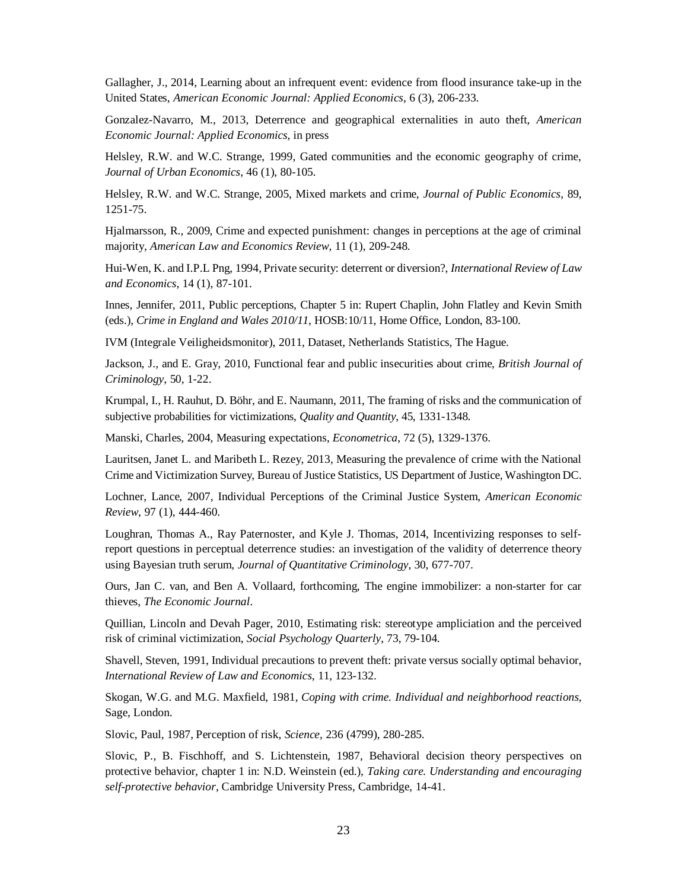Gallagher, J., 2014, Learning about an infrequent event: evidence from flood insurance take-up in the United States, *American Economic Journal: Applied Economics*, 6 (3), 206-233.

Gonzalez-Navarro, M., 2013, Deterrence and geographical externalities in auto theft, *American Economic Journal: Applied Economics*, in press

Helsley, R.W. and W.C. Strange, 1999, Gated communities and the economic geography of crime, *Journal of Urban Economics*, 46 (1), 80-105.

Helsley, R.W. and W.C. Strange, 2005, Mixed markets and crime, *Journal of Public Economics*, 89, 1251-75.

Hjalmarsson, R., 2009, Crime and expected punishment: changes in perceptions at the age of criminal majority, *American Law and Economics Review*, 11 (1), 209-248.

Hui-Wen, K. and I.P.L Png, 1994, Private security: deterrent or diversion?, *International Review of Law and Economics*, 14 (1), 87-101.

Innes, Jennifer, 2011, Public perceptions, Chapter 5 in: Rupert Chaplin, John Flatley and Kevin Smith (eds.), *Crime in England and Wales 2010/11*, HOSB:10/11, Home Office, London, 83-100.

IVM (Integrale Veiligheidsmonitor), 2011, Dataset, Netherlands Statistics, The Hague.

Jackson, J., and E. Gray, 2010, Functional fear and public insecurities about crime, *British Journal of Criminology*, 50, 1-22.

Krumpal, I., H. Rauhut, D. Böhr, and E. Naumann, 2011, The framing of risks and the communication of subjective probabilities for victimizations, *Quality and Quantity*, 45, 1331-1348.

Manski, Charles, 2004, Measuring expectations, *Econometrica*, 72 (5), 1329-1376.

Lauritsen, Janet L. and Maribeth L. Rezey, 2013, Measuring the prevalence of crime with the National Crime and Victimization Survey, Bureau of Justice Statistics, US Department of Justice, Washington DC.

Lochner, Lance, 2007, Individual Perceptions of the Criminal Justice System, *American Economic Review*, 97 (1), 444-460.

Loughran, Thomas A., Ray Paternoster, and Kyle J. Thomas, 2014, Incentivizing responses to selfreport questions in perceptual deterrence studies: an investigation of the validity of deterrence theory using Bayesian truth serum, *Journal of Quantitative Criminology*, 30, 677-707.

Ours, Jan C. van, and Ben A. Vollaard, forthcoming, The engine immobilizer: a non-starter for car thieves, *The Economic Journal*.

Quillian, Lincoln and Devah Pager, 2010, Estimating risk: stereotype ampliciation and the perceived risk of criminal victimization, *Social Psychology Quarterly*, 73, 79-104.

Shavell, Steven, 1991, Individual precautions to prevent theft: private versus socially optimal behavior, *International Review of Law and Economics*, 11, 123-132.

Skogan, W.G. and M.G. Maxfield, 1981, *Coping with crime. Individual and neighborhood reactions*, Sage, London.

Slovic, Paul, 1987, Perception of risk, *Science*, 236 (4799), 280-285.

Slovic, P., B. Fischhoff, and S. Lichtenstein, 1987, Behavioral decision theory perspectives on protective behavior, chapter 1 in: N.D. Weinstein (ed.), *Taking care. Understanding and encouraging self-protective behavior*, Cambridge University Press, Cambridge, 14-41.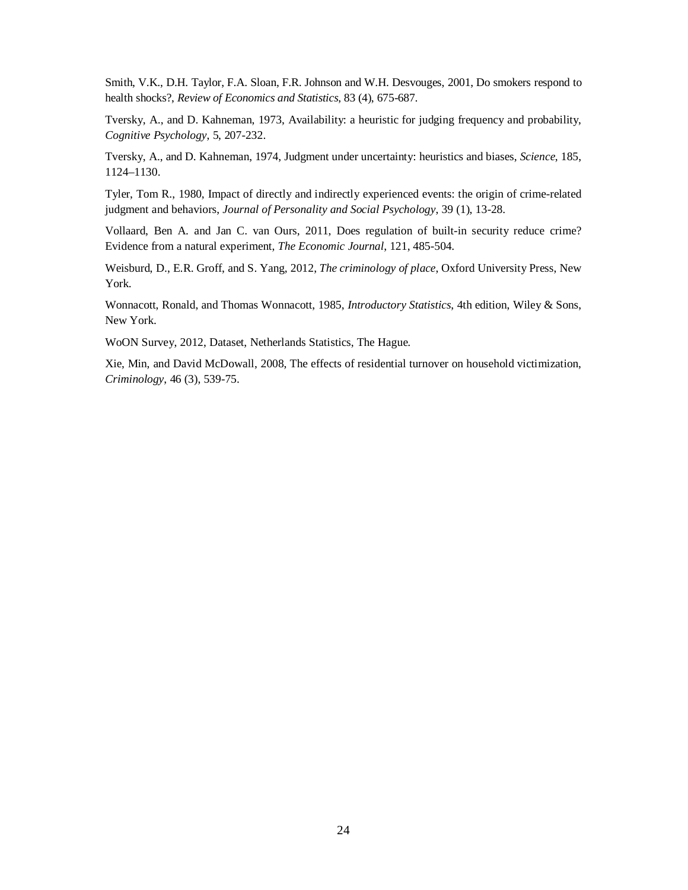Smith, V.K., D.H. Taylor, F.A. Sloan, F.R. Johnson and W.H. Desvouges, 2001, Do smokers respond to health shocks?, *Review of Economics and Statistics*, 83 (4), 675-687.

Tversky, A., and D. Kahneman, 1973, Availability: a heuristic for judging frequency and probability, *Cognitive Psychology*, 5, 207-232.

Tversky, A., and D. Kahneman, 1974, Judgment under uncertainty: heuristics and biases, *Science*, 185, 1124–1130.

Tyler, Tom R., 1980, Impact of directly and indirectly experienced events: the origin of crime-related judgment and behaviors, *Journal of Personality and Social Psychology*, 39 (1), 13-28.

Vollaard, Ben A. and Jan C. van Ours, 2011, Does regulation of built-in security reduce crime? Evidence from a natural experiment, *The Economic Journal*, 121, 485-504.

Weisburd, D., E.R. Groff, and S. Yang, 2012, *The criminology of place*, Oxford University Press, New York.

Wonnacott, Ronald, and Thomas Wonnacott, 1985, *Introductory Statistics*, 4th edition, Wiley & Sons, New York.

WoON Survey, 2012, Dataset, Netherlands Statistics, The Hague.

Xie, Min, and David McDowall, 2008, The effects of residential turnover on household victimization, *Criminology*, 46 (3), 539-75.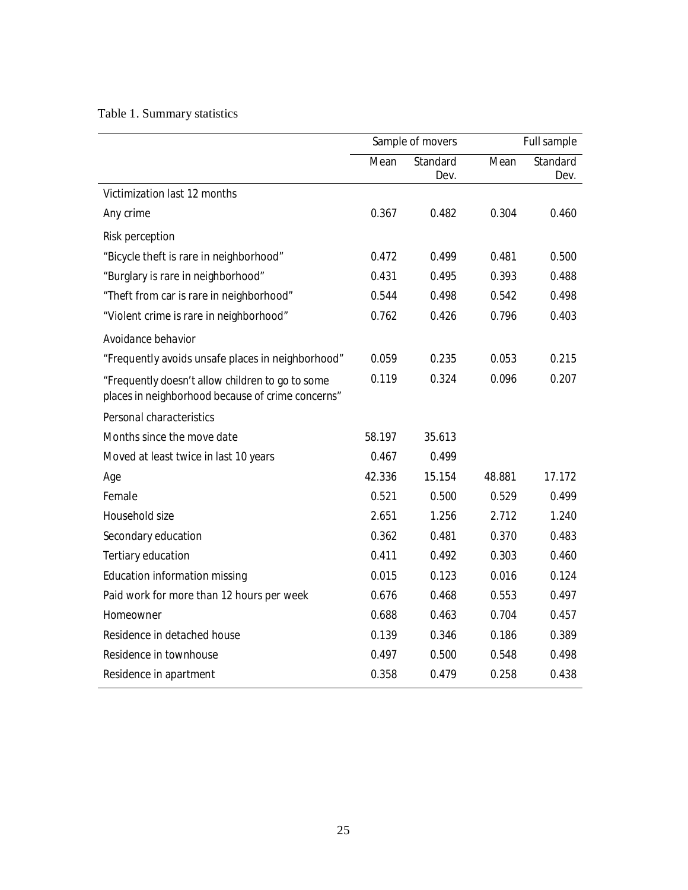### Table 1. Summary statistics

|                                                                                                       |        | Sample of movers |        | Full sample      |
|-------------------------------------------------------------------------------------------------------|--------|------------------|--------|------------------|
|                                                                                                       | Mean   | Standard<br>Dev. | Mean   | Standard<br>Dev. |
| Victimization last 12 months                                                                          |        |                  |        |                  |
| Any crime                                                                                             | 0.367  | 0.482            | 0.304  | 0.460            |
| <b>Risk perception</b>                                                                                |        |                  |        |                  |
| "Bicycle theft is rare in neighborhood"                                                               | 0.472  | 0.499            | 0.481  | 0.500            |
| "Burglary is rare in neighborhood"                                                                    | 0.431  | 0.495            | 0.393  | 0.488            |
| "Theft from car is rare in neighborhood"                                                              | 0.544  | 0.498            | 0.542  | 0.498            |
| "Violent crime is rare in neighborhood"                                                               | 0.762  | 0.426            | 0.796  | 0.403            |
| Avoidance behavior                                                                                    |        |                  |        |                  |
| "Frequently avoids unsafe places in neighborhood"                                                     | 0.059  | 0.235            | 0.053  | 0.215            |
| "Frequently doesn't allow children to go to some<br>places in neighborhood because of crime concerns" | 0.119  | 0.324            | 0.096  | 0.207            |
| Personal characteristics                                                                              |        |                  |        |                  |
| Months since the move date                                                                            | 58.197 | 35.613           |        |                  |
| Moved at least twice in last 10 years                                                                 | 0.467  | 0.499            |        |                  |
| Age                                                                                                   | 42.336 | 15.154           | 48.881 | 17.172           |
| Female                                                                                                | 0.521  | 0.500            | 0.529  | 0.499            |
| Household size                                                                                        | 2.651  | 1.256            | 2.712  | 1.240            |
| Secondary education                                                                                   | 0.362  | 0.481            | 0.370  | 0.483            |
| Tertiary education                                                                                    | 0.411  | 0.492            | 0.303  | 0.460            |
| Education information missing                                                                         | 0.015  | 0.123            | 0.016  | 0.124            |
| Paid work for more than 12 hours per week                                                             | 0.676  | 0.468            | 0.553  | 0.497            |
| Homeowner                                                                                             | 0.688  | 0.463            | 0.704  | 0.457            |
| Residence in detached house                                                                           | 0.139  | 0.346            | 0.186  | 0.389            |
| Residence in townhouse                                                                                | 0.497  | 0.500            | 0.548  | 0.498            |
| Residence in apartment                                                                                | 0.358  | 0.479            | 0.258  | 0.438            |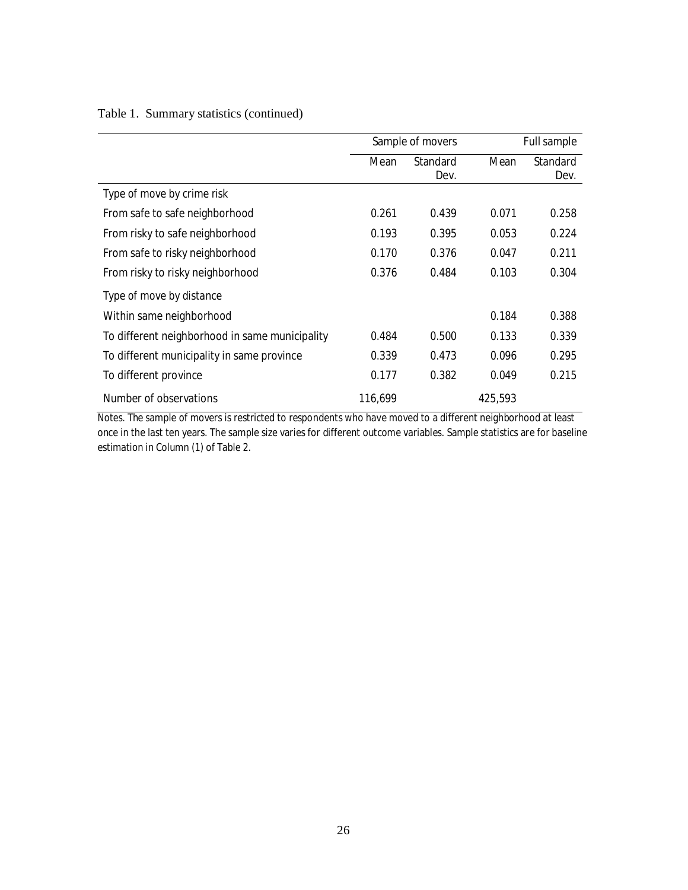|  |  |  | Table 1. Summary statistics (continued) |
|--|--|--|-----------------------------------------|
|--|--|--|-----------------------------------------|

|                                                | Sample of movers |          |         | Full sample |  |
|------------------------------------------------|------------------|----------|---------|-------------|--|
|                                                | Mean             | Standard | Mean    | Standard    |  |
|                                                |                  | Dev.     |         | Dev.        |  |
| Type of move by crime risk                     |                  |          |         |             |  |
| From safe to safe neighborhood                 | 0.261            | 0.439    | 0.071   | 0.258       |  |
| From risky to safe neighborhood                | 0.193            | 0.395    | 0.053   | 0.224       |  |
| From safe to risky neighborhood                | 0.170            | 0.376    | 0.047   | 0.211       |  |
| From risky to risky neighborhood               | 0.376            | 0.484    | 0.103   | 0.304       |  |
| Type of move by distance                       |                  |          |         |             |  |
| Within same neighborhood                       |                  |          | 0.184   | 0.388       |  |
| To different neighborhood in same municipality | 0.484            | 0.500    | 0.133   | 0.339       |  |
| To different municipality in same province     | 0.339            | 0.473    | 0.096   | 0.295       |  |
| To different province                          | 0.177            | 0.382    | 0.049   | 0.215       |  |
| Number of observations                         | 116,699          |          | 425,593 |             |  |

*Notes*. The sample of movers is restricted to respondents who have moved to a different neighborhood at least once in the last ten years. The sample size varies for different outcome variables. Sample statistics are for baseline estimation in Column (1) of Table 2.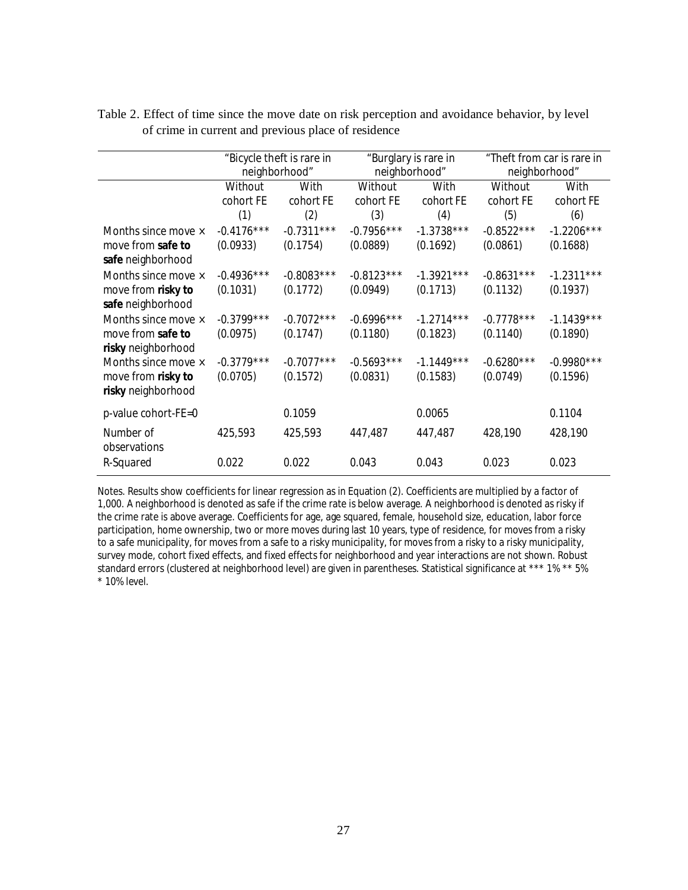|                     | neighborhood" | "Bicycle theft is rare in |              | "Burglary is rare in<br>neighborhood" |              | "Theft from car is rare in<br>neighborhood" |  |
|---------------------|---------------|---------------------------|--------------|---------------------------------------|--------------|---------------------------------------------|--|
|                     | Without       | With                      | Without      | With                                  |              |                                             |  |
|                     |               |                           |              |                                       | Without      | With                                        |  |
|                     | cohort FE     | cohort FE                 | cohort FE    | cohort FE                             | cohort FE    | cohort FE                                   |  |
|                     | (1)           | (2)                       | (3)          | (4)                                   | (5)          | (6)                                         |  |
| Months since move × | $-0.4176***$  | $-0.7311***$              | $-0.7956***$ | $-1.3738***$                          | $-0.8522***$ | $-1.2206***$                                |  |
| move from safe to   | (0.0933)      | (0.1754)                  | (0.0889)     | (0.1692)                              | (0.0861)     | (0.1688)                                    |  |
| safe neighborhood   |               |                           |              |                                       |              |                                             |  |
| Months since move × | $-0.4936***$  | $-0.8083***$              | $-0.8123***$ | $-1.3921***$                          | $-0.8631***$ | $-1.2311***$                                |  |
| move from risky to  | (0.1031)      | (0.1772)                  | (0.0949)     | (0.1713)                              | (0.1132)     | (0.1937)                                    |  |
| safe neighborhood   |               |                           |              |                                       |              |                                             |  |
| Months since move × | $-0.3799***$  | $-0.7072***$              | $-0.6996***$ | $-1.2714***$                          | $-0.7778***$ | $-1.1439***$                                |  |
| move from safe to   | (0.0975)      | (0.1747)                  | (0.1180)     | (0.1823)                              | (0.1140)     | (0.1890)                                    |  |
| risky neighborhood  |               |                           |              |                                       |              |                                             |  |
| Months since move × | $-0.3779***$  | $-0.7077***$              | $-0.5693***$ | $-1.1449***$                          | $-0.6280***$ | $-0.9980***$                                |  |
| move from risky to  | (0.0705)      | (0.1572)                  | (0.0831)     | (0.1583)                              | (0.0749)     | (0.1596)                                    |  |
| risky neighborhood  |               |                           |              |                                       |              |                                             |  |
|                     |               |                           |              |                                       |              |                                             |  |
| p-value cohort-FE=0 |               | 0.1059                    |              | 0.0065                                |              | 0.1104                                      |  |
| Number of           | 425,593       | 425,593                   | 447,487      | 447,487                               | 428,190      | 428,190                                     |  |
| observations        |               |                           |              |                                       |              |                                             |  |
| R-Squared           | 0.022         | 0.022                     | 0.043        | 0.043                                 | 0.023        | 0.023                                       |  |

Table 2. Effect of time since the move date on risk perception and avoidance behavior, by level of crime in current and previous place of residence

*Notes*. Results show coefficients for linear regression as in Equation (2). Coefficients are multiplied by a factor of 1,000. A neighborhood is denoted as safe if the crime rate is below average. A neighborhood is denoted as risky if the crime rate is above average. Coefficients for age, age squared, female, household size, education, labor force participation, home ownership, two or more moves during last 10 years, type of residence, for moves from a risky to a safe municipality, for moves from a safe to a risky municipality, for moves from a risky to a risky municipality, survey mode, cohort fixed effects, and fixed effects for neighborhood and year interactions are not shown. Robust standard errors (clustered at neighborhood level) are given in parentheses. Statistical significance at \*\*\* 1% \*\* 5% \* 10% level.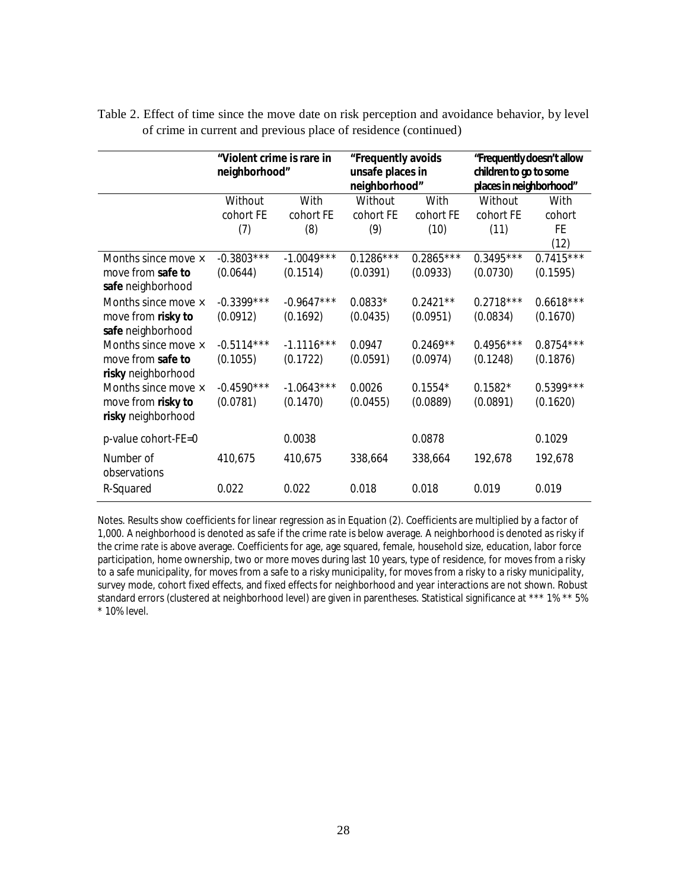|                           | "Violent crime is rare in<br>neighborhood" |              | "Frequently avoids<br>unsafe places in<br>neighborhood" |             | "Frequently doesn't allow<br>children to go to some<br>places in neighborhood" |             |
|---------------------------|--------------------------------------------|--------------|---------------------------------------------------------|-------------|--------------------------------------------------------------------------------|-------------|
|                           | Without                                    | With         | Without                                                 | With        | Without                                                                        | With        |
|                           | cohort FE                                  | cohort FE    | cohort FE                                               | cohort FE   | cohort FE                                                                      | cohort      |
|                           | (7)                                        | (8)          | (9)                                                     | (10)        | (11)                                                                           | FE          |
|                           |                                            |              |                                                         |             |                                                                                | (12)        |
| Months since move ×       | $-0.3803***$                               | $-1.0049***$ | $0.1286***$                                             | $0.2865***$ | $0.3495***$                                                                    | $0.7415***$ |
| move from safe to         | (0.0644)                                   | (0.1514)     | (0.0391)                                                | (0.0933)    | (0.0730)                                                                       | (0.1595)    |
| safe neighborhood         |                                            |              |                                                         |             |                                                                                |             |
| Months since move ×       | $-0.3399***$                               | $-0.9647***$ | $0.0833*$                                               | $0.2421**$  | $0.2718***$                                                                    | $0.6618***$ |
| move from risky to        | (0.0912)                                   | (0.1692)     | (0.0435)                                                | (0.0951)    | (0.0834)                                                                       | (0.1670)    |
| safe neighborhood         |                                            |              |                                                         |             |                                                                                |             |
| Months since move ×       | $-0.5114***$                               | $-1.1116***$ | 0.0947                                                  | $0.2469**$  | $0.4956***$                                                                    | $0.8754***$ |
| move from safe to         | (0.1055)                                   | (0.1722)     | (0.0591)                                                | (0.0974)    | (0.1248)                                                                       | (0.1876)    |
| risky neighborhood        |                                            |              |                                                         |             |                                                                                |             |
| Months since move ×       | $-0.4590***$                               | $-1.0643***$ | 0.0026                                                  | $0.1554*$   | $0.1582*$                                                                      | $0.5399***$ |
| move from risky to        | (0.0781)                                   | (0.1470)     | (0.0455)                                                | (0.0889)    | (0.0891)                                                                       | (0.1620)    |
| risky neighborhood        |                                            |              |                                                         |             |                                                                                |             |
| p-value cohort-FE=0       |                                            | 0.0038       |                                                         | 0.0878      |                                                                                | 0.1029      |
| Number of<br>observations | 410,675                                    | 410,675      | 338,664                                                 | 338,664     | 192,678                                                                        | 192,678     |
| R-Squared                 | 0.022                                      | 0.022        | 0.018                                                   | 0.018       | 0.019                                                                          | 0.019       |

Table 2. Effect of time since the move date on risk perception and avoidance behavior, by level of crime in current and previous place of residence (continued)

*Notes*. Results show coefficients for linear regression as in Equation (2). Coefficients are multiplied by a factor of 1,000. A neighborhood is denoted as safe if the crime rate is below average. A neighborhood is denoted as risky if the crime rate is above average. Coefficients for age, age squared, female, household size, education, labor force participation, home ownership, two or more moves during last 10 years, type of residence, for moves from a risky to a safe municipality, for moves from a safe to a risky municipality, for moves from a risky to a risky municipality, survey mode, cohort fixed effects, and fixed effects for neighborhood and year interactions are not shown. Robust standard errors (clustered at neighborhood level) are given in parentheses. Statistical significance at \*\*\* 1% \*\* 5% \* 10% level.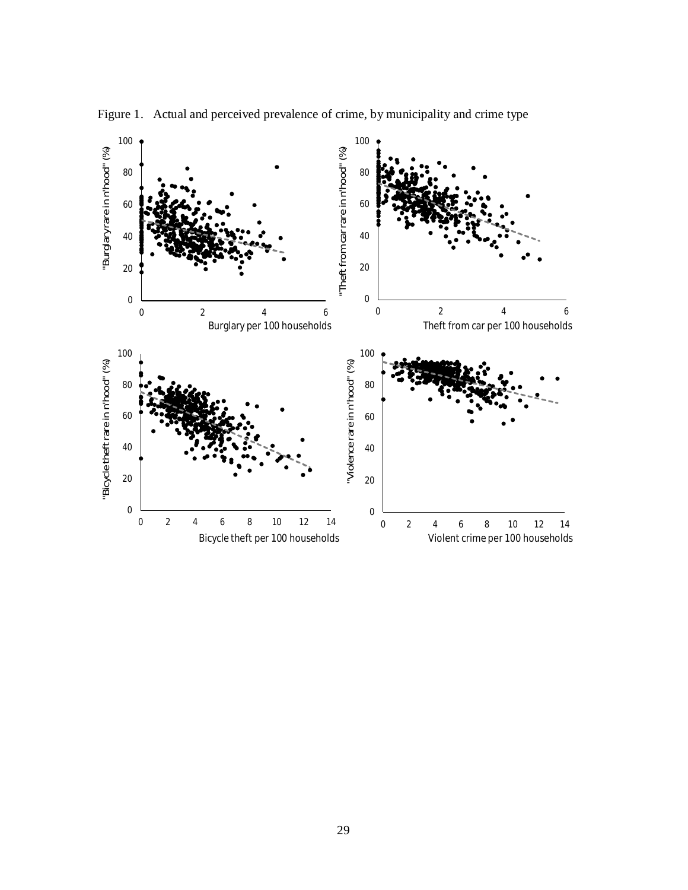

Figure 1. Actual and perceived prevalence of crime, by municipality and crime type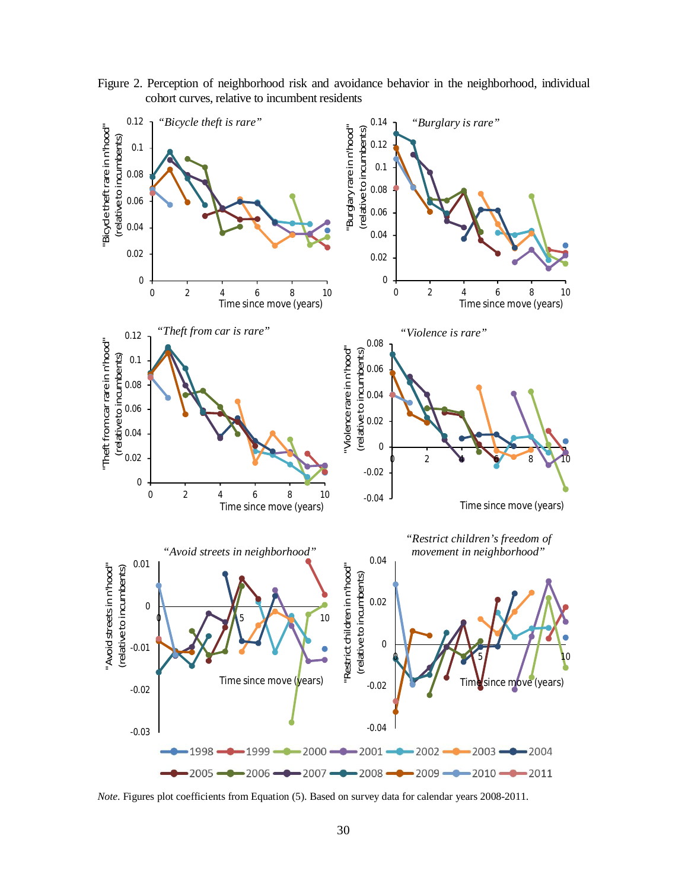Figure 2. Perception of neighborhood risk and avoidance behavior in the neighborhood, individual cohort curves, relative to incumbent residents



*Note*. Figures plot coefficients from Equation (5). Based on survey data for calendar years 2008-2011.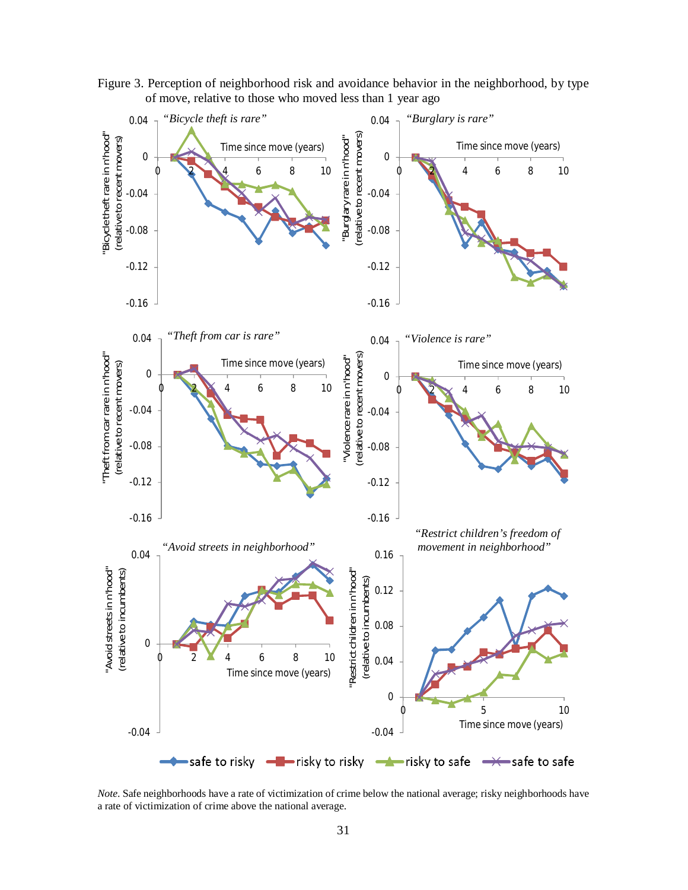

Figure 3. Perception of neighborhood risk and avoidance behavior in the neighborhood, by type of move, relative to those who moved less than 1 year ago

*Note*. Safe neighborhoods have a rate of victimization of crime below the national average; risky neighborhoods have a rate of victimization of crime above the national average.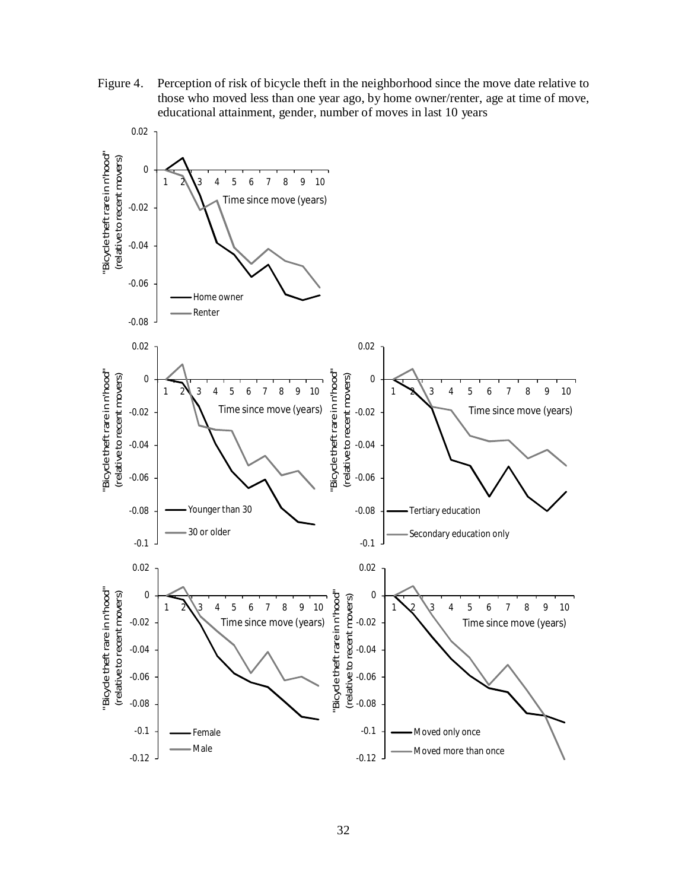Figure 4. Perception of risk of bicycle theft in the neighborhood since the move date relative to those who moved less than one year ago, by home owner/renter, age at time of move, educational attainment, gender, number of moves in last 10 years

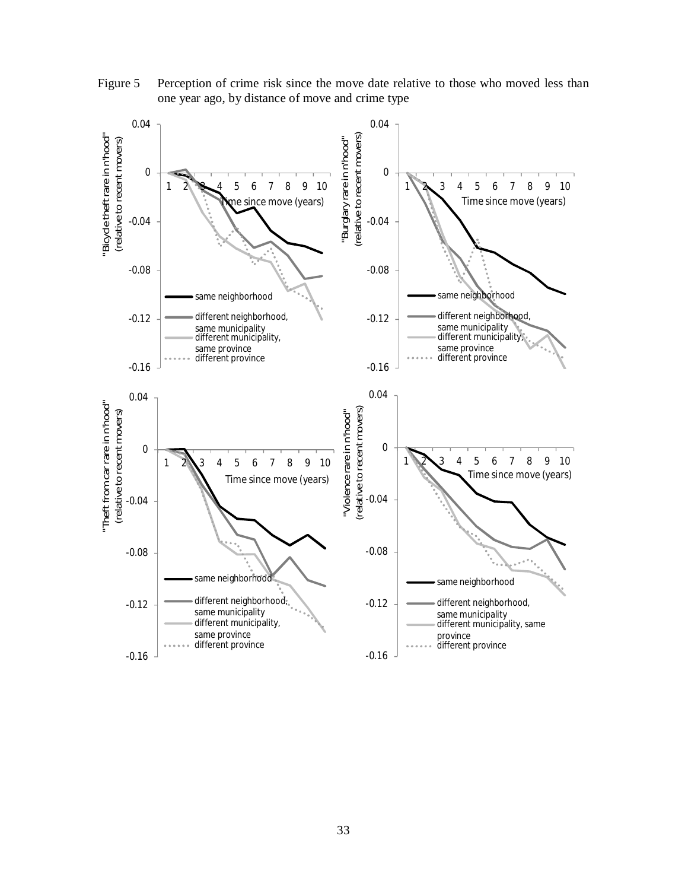

Figure 5 Perception of crime risk since the move date relative to those who moved less than one year ago, by distance of move and crime type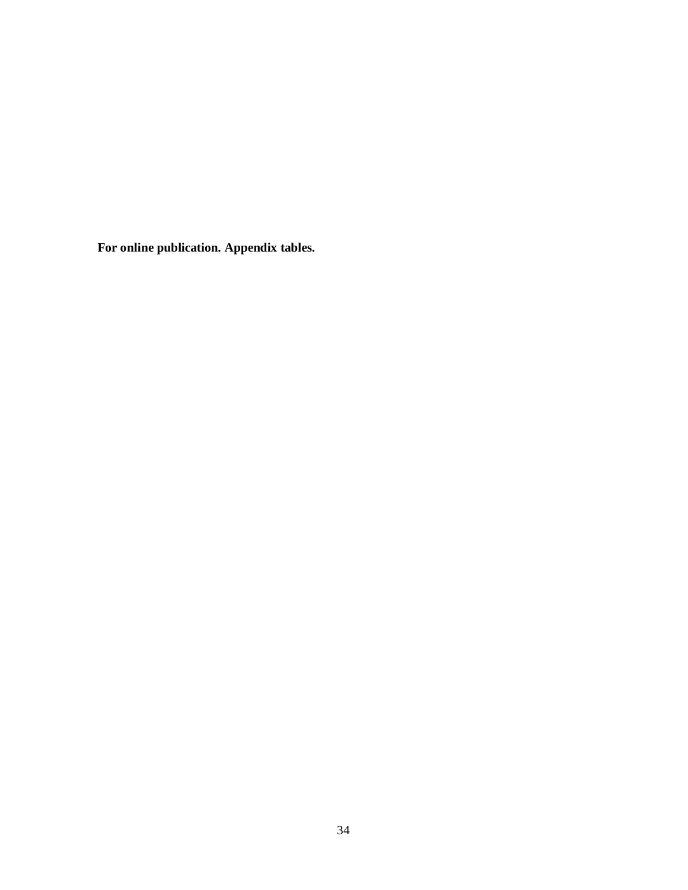**For online publication. Appendix tables.**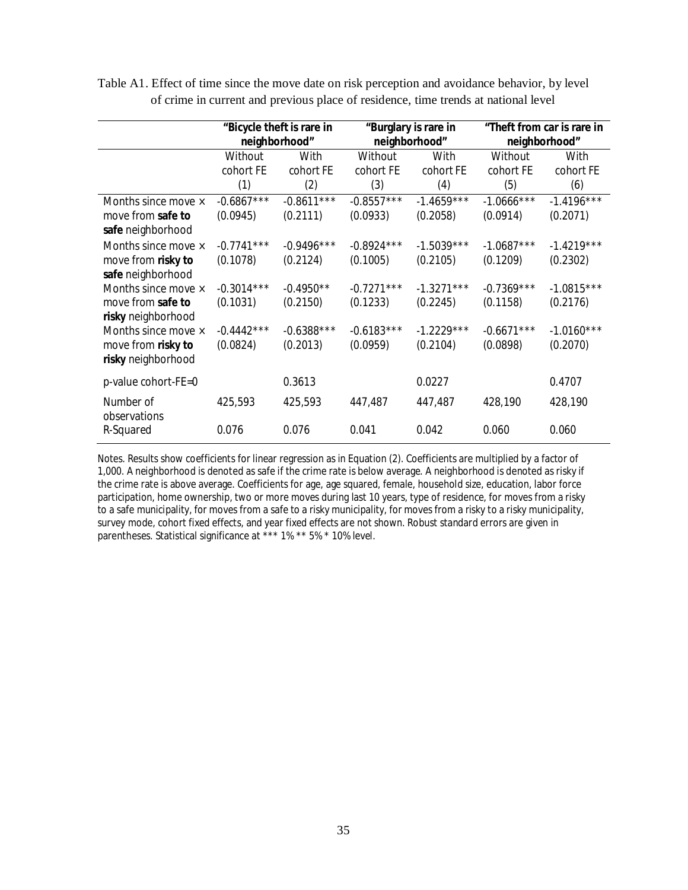|                                                                 | "Bicycle theft is rare in<br>neighborhood" |                          | "Burglary is rare in<br>neighborhood" |                          | "Theft from car is rare in<br>neighborhood" |                          |
|-----------------------------------------------------------------|--------------------------------------------|--------------------------|---------------------------------------|--------------------------|---------------------------------------------|--------------------------|
|                                                                 | Without<br>cohort FE<br>(1)                | With<br>cohort FE<br>(2) | Without<br>cohort FE<br>(3)           | With<br>cohort FE<br>(4) | Without<br>cohort FE<br>(5)                 | With<br>cohort FE<br>(6) |
| Months since move ×<br>move from safe to<br>safe neighborhood   | $-0.6867***$<br>(0.0945)                   | $-0.8611***$<br>(0.2111) | $-0.8557***$<br>(0.0933)              | $-1.4659***$<br>(0.2058) | $-1.0666$ ***<br>(0.0914)                   | $-1.4196***$<br>(0.2071) |
| Months since move ×<br>move from risky to<br>safe neighborhood  | $-0.7741***$<br>(0.1078)                   | $-0.9496***$<br>(0.2124) | $-0.8924***$<br>(0.1005)              | $-1.5039***$<br>(0.2105) | $-1.0687***$<br>(0.1209)                    | $-1.4219***$<br>(0.2302) |
| Months since move ×<br>move from safe to<br>risky neighborhood  | $-0.3014***$<br>(0.1031)                   | $-0.4950**$<br>(0.2150)  | $-0.7271***$<br>(0.1233)              | $-1.3271***$<br>(0.2245) | $-0.7369***$<br>(0.1158)                    | $-1.0815***$<br>(0.2176) |
| Months since move ×<br>move from risky to<br>risky neighborhood | $-0.4442***$<br>(0.0824)                   | $-0.6388***$<br>(0.2013) | $-0.6183***$<br>(0.0959)              | $-1.2229***$<br>(0.2104) | $-0.6671***$<br>(0.0898)                    | $-1.0160***$<br>(0.2070) |
| p-value cohort-FE=0                                             |                                            | 0.3613                   |                                       | 0.0227                   |                                             | 0.4707                   |
| Number of<br>observations                                       | 425,593                                    | 425,593                  | 447,487                               | 447,487                  | 428,190                                     | 428,190                  |
| R-Squared                                                       | 0.076                                      | 0.076                    | 0.041                                 | 0.042                    | 0.060                                       | 0.060                    |

Table A1. Effect of time since the move date on risk perception and avoidance behavior, by level of crime in current and previous place of residence, time trends at national level

*Notes*. Results show coefficients for linear regression as in Equation (2). Coefficients are multiplied by a factor of 1,000. A neighborhood is denoted as safe if the crime rate is below average. A neighborhood is denoted as risky if the crime rate is above average. Coefficients for age, age squared, female, household size, education, labor force participation, home ownership, two or more moves during last 10 years, type of residence, for moves from a risky to a safe municipality, for moves from a safe to a risky municipality, for moves from a risky to a risky municipality, survey mode, cohort fixed effects, and year fixed effects are not shown. Robust standard errors are given in parentheses. Statistical significance at \*\*\* 1% \*\* 5% \* 10% level.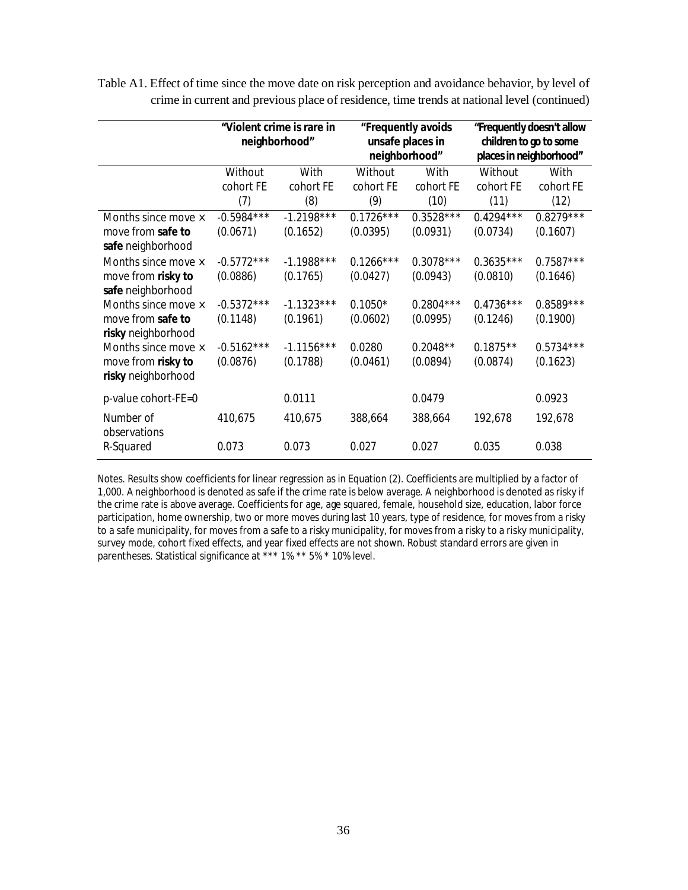|                                          | "Violent crime is rare in<br>neighborhood" |                  | "Frequently avoids<br>unsafe places in<br>neighborhood" |                   | "Frequently doesn't allow<br>children to go to some<br>places in neighborhood" |                   |
|------------------------------------------|--------------------------------------------|------------------|---------------------------------------------------------|-------------------|--------------------------------------------------------------------------------|-------------------|
|                                          | Without                                    | With             | Without                                                 | With              | Without                                                                        | With              |
|                                          | cohort FE<br>(7)                           | cohort FE<br>(8) | cohort FE<br>(9)                                        | cohort FE<br>(10) | cohort FE<br>(11)                                                              | cohort FE<br>(12) |
| Months since move $\times$               | $-0.5984***$                               | $-1.2198***$     | $0.1726***$                                             | $0.3528***$       | $0.4294***$                                                                    | $0.8279***$       |
| move from safe to<br>safe neighborhood   | (0.0671)                                   | (0.1652)         | (0.0395)                                                | (0.0931)          | (0.0734)                                                                       | (0.1607)          |
| Months since move ×                      | $-0.5772***$                               | $-1.1988***$     | $0.1266***$                                             | $0.3078***$       | $0.3635***$                                                                    | $0.7587***$       |
| move from risky to<br>safe neighborhood  | (0.0886)                                   | (0.1765)         | (0.0427)                                                | (0.0943)          | (0.0810)                                                                       | (0.1646)          |
| Months since move ×                      | $-0.5372***$                               | $-1.1323***$     | $0.1050*$                                               | $0.2804***$       | $0.4736***$                                                                    | $0.8589***$       |
| move from safe to<br>risky neighborhood  | (0.1148)                                   | (0.1961)         | (0.0602)                                                | (0.0995)          | (0.1246)                                                                       | (0.1900)          |
| Months since move ×                      | $-0.5162***$                               | $-1.1156***$     | 0.0280                                                  | $0.2048**$        | $0.1875**$                                                                     | $0.5734***$       |
| move from risky to<br>risky neighborhood | (0.0876)                                   | (0.1788)         | (0.0461)                                                | (0.0894)          | (0.0874)                                                                       | (0.1623)          |
| p-value cohort-FE=0                      |                                            | 0.0111           |                                                         | 0.0479            |                                                                                | 0.0923            |
| Number of<br>observations                | 410,675                                    | 410,675          | 388,664                                                 | 388,664           | 192,678                                                                        | 192,678           |
| R-Squared                                | 0.073                                      | 0.073            | 0.027                                                   | 0.027             | 0.035                                                                          | 0.038             |

Table A1. Effect of time since the move date on risk perception and avoidance behavior, by level of crime in current and previous place of residence, time trends at national level (continued)

*Notes*. Results show coefficients for linear regression as in Equation (2). Coefficients are multiplied by a factor of 1,000. A neighborhood is denoted as safe if the crime rate is below average. A neighborhood is denoted as risky if the crime rate is above average. Coefficients for age, age squared, female, household size, education, labor force participation, home ownership, two or more moves during last 10 years, type of residence, for moves from a risky to a safe municipality, for moves from a safe to a risky municipality, for moves from a risky to a risky municipality, survey mode, cohort fixed effects, and year fixed effects are not shown. Robust standard errors are given in parentheses. Statistical significance at \*\*\* 1% \*\* 5% \* 10% level.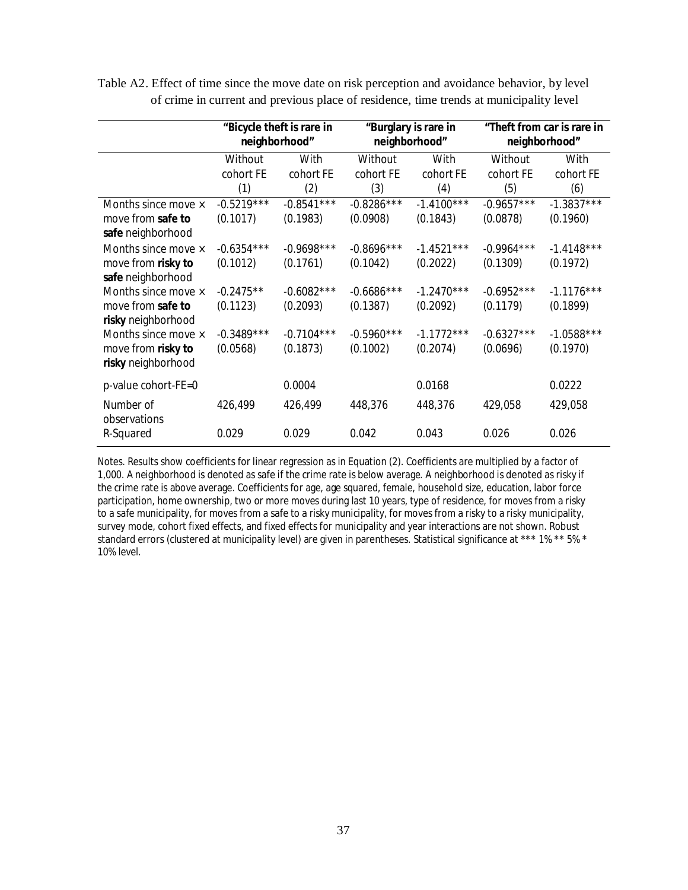|                     |              | "Bicycle theft is rare in<br>neighborhood" | "Burglary is rare in<br>neighborhood" |              | "Theft from car is rare in<br>neighborhood" |              |
|---------------------|--------------|--------------------------------------------|---------------------------------------|--------------|---------------------------------------------|--------------|
|                     | Without      | With                                       | Without                               | With         | Without                                     | With         |
|                     | cohort FE    | cohort FE                                  | cohort FE                             | cohort FE    | cohort FE                                   | cohort FE    |
|                     | (1)          | (2)                                        | (3)                                   | (4)          | (5)                                         | (6)          |
| Months since move × | $-0.5219***$ | $-0.8541***$                               | $-0.8286***$                          | $-1.4100***$ | $-0.9657***$                                | $-1.3837***$ |
| move from safe to   | (0.1017)     | (0.1983)                                   | (0.0908)                              | (0.1843)     | (0.0878)                                    | (0.1960)     |
| safe neighborhood   |              |                                            |                                       |              |                                             |              |
| Months since move × | $-0.6354***$ | $-0.9698***$                               | $-0.8696***$                          | $-1.4521***$ | $-0.9964***$                                | $-1.4148***$ |
| move from risky to  | (0.1012)     | (0.1761)                                   | (0.1042)                              | (0.2022)     | (0.1309)                                    | (0.1972)     |
| safe neighborhood   |              |                                            |                                       |              |                                             |              |
| Months since move × | $-0.2475**$  | $-0.6082***$                               | $-0.6686***$                          | $-1.2470***$ | $-0.6952***$                                | $-1.1176***$ |
| move from safe to   | (0.1123)     | (0.2093)                                   | (0.1387)                              | (0.2092)     | (0.1179)                                    | (0.1899)     |
| risky neighborhood  |              |                                            |                                       |              |                                             |              |
| Months since move × | $-0.3489***$ | $-0.7104***$                               | $-0.5960***$                          | $-1.1772***$ | $-0.6327***$                                | $-1.0588***$ |
| move from risky to  | (0.0568)     | (0.1873)                                   | (0.1002)                              | (0.2074)     | (0.0696)                                    | (0.1970)     |
| risky neighborhood  |              |                                            |                                       |              |                                             |              |
| p-value cohort-FE=0 |              | 0.0004                                     |                                       | 0.0168       |                                             | 0.0222       |
| Number of           | 426,499      | 426,499                                    | 448,376                               | 448,376      | 429,058                                     | 429,058      |
| observations        | 0.029        | 0.029                                      | 0.042                                 | 0.043        | 0.026                                       | 0.026        |
| R-Squared           |              |                                            |                                       |              |                                             |              |

Table A2. Effect of time since the move date on risk perception and avoidance behavior, by level of crime in current and previous place of residence, time trends at municipality level

*Notes*. Results show coefficients for linear regression as in Equation (2). Coefficients are multiplied by a factor of 1,000. A neighborhood is denoted as safe if the crime rate is below average. A neighborhood is denoted as risky if the crime rate is above average. Coefficients for age, age squared, female, household size, education, labor force participation, home ownership, two or more moves during last 10 years, type of residence, for moves from a risky to a safe municipality, for moves from a safe to a risky municipality, for moves from a risky to a risky municipality, survey mode, cohort fixed effects, and fixed effects for municipality and year interactions are not shown. Robust standard errors (clustered at municipality level) are given in parentheses. Statistical significance at \*\*\* 1% \*\* 5% \* 10% level.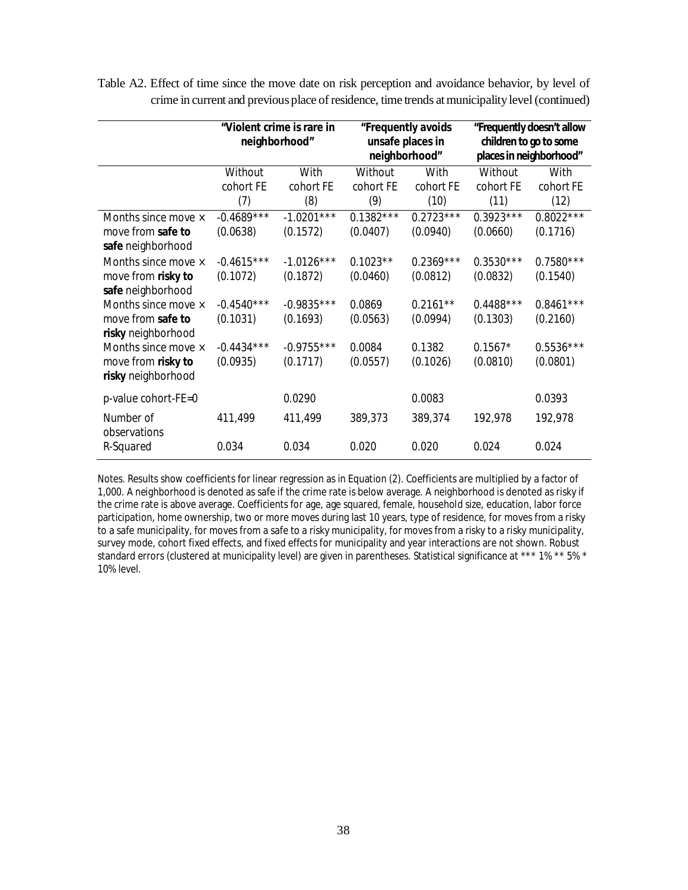|                                          | "Violent crime is rare in<br>neighborhood" |                  | "Frequently avoids<br>unsafe places in<br>neighborhood" |                   | "Frequently doesn't allow<br>children to go to some<br>places in neighborhood" |                   |
|------------------------------------------|--------------------------------------------|------------------|---------------------------------------------------------|-------------------|--------------------------------------------------------------------------------|-------------------|
|                                          | Without                                    | With             | Without                                                 | With              | Without                                                                        | With              |
|                                          | cohort FE<br>(7)                           | cohort FE<br>(8) | cohort FE<br>(9)                                        | cohort FE<br>(10) | cohort FE<br>(11)                                                              | cohort FE<br>(12) |
| Months since move ×                      | $-0.4689***$                               | $-1.0201***$     | $0.1382***$                                             | $0.2723***$       | $0.3923***$                                                                    | $0.8022***$       |
| move from safe to<br>safe neighborhood   | (0.0638)                                   | (0.1572)         | (0.0407)                                                | (0.0940)          | (0.0660)                                                                       | (0.1716)          |
| Months since move ×                      | $-0.4615***$                               | $-1.0126***$     | $0.1023**$                                              | $0.2369***$       | $0.3530***$                                                                    | $0.7580***$       |
| move from risky to<br>safe neighborhood  | (0.1072)                                   | (0.1872)         | (0.0460)                                                | (0.0812)          | (0.0832)                                                                       | (0.1540)          |
| Months since move ×                      | $-0.4540***$                               | $-0.9835***$     | 0.0869                                                  | $0.2161**$        | $0.4488***$                                                                    | $0.8461***$       |
| move from safe to<br>risky neighborhood  | (0.1031)                                   | (0.1693)         | (0.0563)                                                | (0.0994)          | (0.1303)                                                                       | (0.2160)          |
| Months since move ×                      | $-0.4434***$                               | $-0.9755***$     | 0.0084                                                  | 0.1382            | $0.1567*$                                                                      | $0.5536***$       |
| move from risky to<br>risky neighborhood | (0.0935)                                   | (0.1717)         | (0.0557)                                                | (0.1026)          | (0.0810)                                                                       | (0.0801)          |
| p-value cohort-FE=0                      |                                            | 0.0290           |                                                         | 0.0083            |                                                                                | 0.0393            |
| Number of<br>observations                | 411,499                                    | 411,499          | 389,373                                                 | 389,374           | 192,978                                                                        | 192,978           |
| R-Squared                                | 0.034                                      | 0.034            | 0.020                                                   | 0.020             | 0.024                                                                          | 0.024             |

Table A2. Effect of time since the move date on risk perception and avoidance behavior, by level of crime in current and previous place of residence, time trends at municipality level (continued)

*Notes*. Results show coefficients for linear regression as in Equation (2). Coefficients are multiplied by a factor of 1,000. A neighborhood is denoted as safe if the crime rate is below average. A neighborhood is denoted as risky if the crime rate is above average. Coefficients for age, age squared, female, household size, education, labor force participation, home ownership, two or more moves during last 10 years, type of residence, for moves from a risky to a safe municipality, for moves from a safe to a risky municipality, for moves from a risky to a risky municipality, survey mode, cohort fixed effects, and fixed effects for municipality and year interactions are not shown. Robust standard errors (clustered at municipality level) are given in parentheses. Statistical significance at \*\*\* 1% \*\* 5% \* 10% level.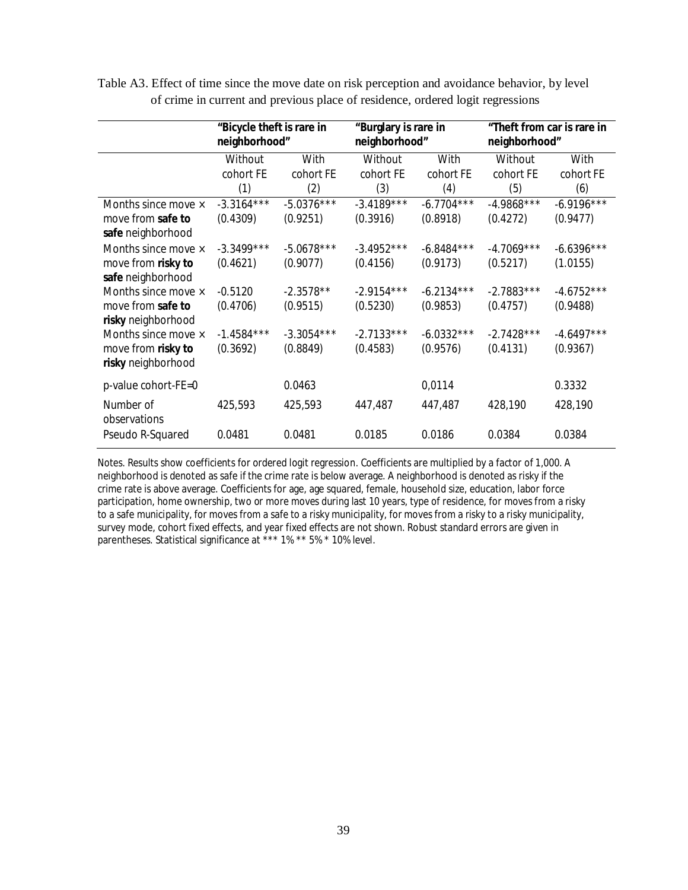|                     | "Bicycle theft is rare in<br>neighborhood" |              | "Burglary is rare in<br>neighborhood" |              | "Theft from car is rare in<br>neighborhood" |              |
|---------------------|--------------------------------------------|--------------|---------------------------------------|--------------|---------------------------------------------|--------------|
|                     | Without                                    | With         | Without                               | With         | Without                                     | With         |
|                     | cohort FE                                  | cohort FE    | cohort FE                             | cohort FE    | cohort FE                                   | cohort FE    |
|                     | (1)                                        | (2)          | (3)                                   | (4)          | (5)                                         | (6)          |
| Months since move × | $-3.3164***$                               | $-5.0376***$ | $-3.4189***$                          | $-6.7704***$ | $-4.9868***$                                | $-6.9196***$ |
| move from safe to   | (0.4309)                                   | (0.9251)     | (0.3916)                              | (0.8918)     | (0.4272)                                    | (0.9477)     |
| safe neighborhood   |                                            |              |                                       |              |                                             |              |
| Months since move × | $-3.3499***$                               | $-5.0678***$ | $-3.4952***$                          | $-6.8484***$ | $-4.7069***$                                | $-6.6396***$ |
| move from risky to  | (0.4621)                                   | (0.9077)     | (0.4156)                              | (0.9173)     | (0.5217)                                    | (1.0155)     |
| safe neighborhood   |                                            |              |                                       |              |                                             |              |
| Months since move × | $-0.5120$                                  | $-2.3578**$  | $-2.9154***$                          | $-6.2134***$ | $-2.7883***$                                | $-4.6752***$ |
| move from safe to   | (0.4706)                                   | (0.9515)     | (0.5230)                              | (0.9853)     | (0.4757)                                    | (0.9488)     |
| risky neighborhood  |                                            |              |                                       |              |                                             |              |
| Months since move × | $-1.4584***$                               | $-3.3054***$ | $-2.7133***$                          | $-6.0332***$ | $-2.7428***$                                | $-4.6497***$ |
| move from risky to  | (0.3692)                                   | (0.8849)     | (0.4583)                              | (0.9576)     | (0.4131)                                    | (0.9367)     |
| risky neighborhood  |                                            |              |                                       |              |                                             |              |
| p-value cohort-FE=0 |                                            | 0.0463       |                                       | 0,0114       |                                             | 0.3332       |
| Number of           | 425,593                                    | 425,593      | 447,487                               | 447,487      | 428,190                                     | 428,190      |
| observations        |                                            |              |                                       |              |                                             |              |
| Pseudo R-Squared    | 0.0481                                     | 0.0481       | 0.0185                                | 0.0186       | 0.0384                                      | 0.0384       |

Table A3. Effect of time since the move date on risk perception and avoidance behavior, by level of crime in current and previous place of residence, ordered logit regressions

*Notes*. Results show coefficients for ordered logit regression. Coefficients are multiplied by a factor of 1,000. A neighborhood is denoted as safe if the crime rate is below average. A neighborhood is denoted as risky if the crime rate is above average. Coefficients for age, age squared, female, household size, education, labor force participation, home ownership, two or more moves during last 10 years, type of residence, for moves from a risky to a safe municipality, for moves from a safe to a risky municipality, for moves from a risky to a risky municipality, survey mode, cohort fixed effects, and year fixed effects are not shown. Robust standard errors are given in parentheses. Statistical significance at \*\*\* 1% \*\* 5% \* 10% level.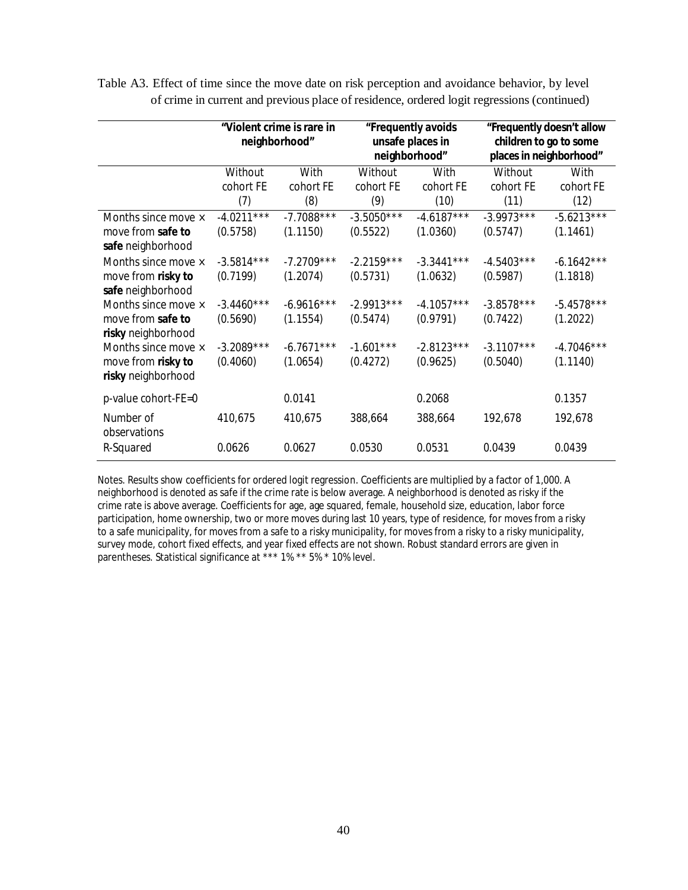|                                                                 |                          | "Violent crime is rare in<br>neighborhood" |                          | "Frequently avoids<br>unsafe places in<br>neighborhood" |                          | "Frequently doesn't allow<br>children to go to some<br>places in neighborhood" |  |
|-----------------------------------------------------------------|--------------------------|--------------------------------------------|--------------------------|---------------------------------------------------------|--------------------------|--------------------------------------------------------------------------------|--|
|                                                                 | Without                  | With                                       | Without                  | With                                                    | Without                  | With                                                                           |  |
|                                                                 | cohort FE<br>(7)         | cohort FE<br>(8)                           | cohort FE<br>(9)         | cohort FE<br>(10)                                       | cohort FE<br>(11)        | cohort FE<br>(12)                                                              |  |
| Months since move ×<br>move from safe to<br>safe neighborhood   | $-4.0211***$<br>(0.5758) | $-7.7088***$<br>(1.1150)                   | $-3.5050***$<br>(0.5522) | $-4.6187***$<br>(1.0360)                                | $-3.9973***$<br>(0.5747) | $-5.6213***$<br>(1.1461)                                                       |  |
| Months since move ×<br>move from risky to<br>safe neighborhood  | $-3.5814***$<br>(0.7199) | $-7.2709***$<br>(1.2074)                   | $-2.2159***$<br>(0.5731) | $-3.3441***$<br>(1.0632)                                | $-4.5403***$<br>(0.5987) | $-6.1642***$<br>(1.1818)                                                       |  |
| Months since move ×<br>move from safe to<br>risky neighborhood  | $-3.4460***$<br>(0.5690) | $-6.9616***$<br>(1.1554)                   | $-2.9913***$<br>(0.5474) | $-4.1057***$<br>(0.9791)                                | $-3.8578***$<br>(0.7422) | $-5.4578***$<br>(1.2022)                                                       |  |
| Months since move ×<br>move from risky to<br>risky neighborhood | $-3.2089***$<br>(0.4060) | $-6.7671***$<br>(1.0654)                   | $-1.601***$<br>(0.4272)  | $-2.8123***$<br>(0.9625)                                | $-3.1107***$<br>(0.5040) | $-4.7046***$<br>(1.1140)                                                       |  |
| p-value cohort-FE=0                                             |                          | 0.0141                                     |                          | 0.2068                                                  |                          | 0.1357                                                                         |  |
| Number of<br>observations                                       | 410,675                  | 410,675                                    | 388,664                  | 388,664                                                 | 192,678                  | 192,678                                                                        |  |
| R-Squared                                                       | 0.0626                   | 0.0627                                     | 0.0530                   | 0.0531                                                  | 0.0439                   | 0.0439                                                                         |  |

Table A3. Effect of time since the move date on risk perception and avoidance behavior, by level of crime in current and previous place of residence, ordered logit regressions (continued)

*Notes*. Results show coefficients for ordered logit regression. Coefficients are multiplied by a factor of 1,000. A neighborhood is denoted as safe if the crime rate is below average. A neighborhood is denoted as risky if the crime rate is above average. Coefficients for age, age squared, female, household size, education, labor force participation, home ownership, two or more moves during last 10 years, type of residence, for moves from a risky to a safe municipality, for moves from a safe to a risky municipality, for moves from a risky to a risky municipality, survey mode, cohort fixed effects, and year fixed effects are not shown. Robust standard errors are given in parentheses. Statistical significance at \*\*\* 1% \*\* 5% \* 10% level.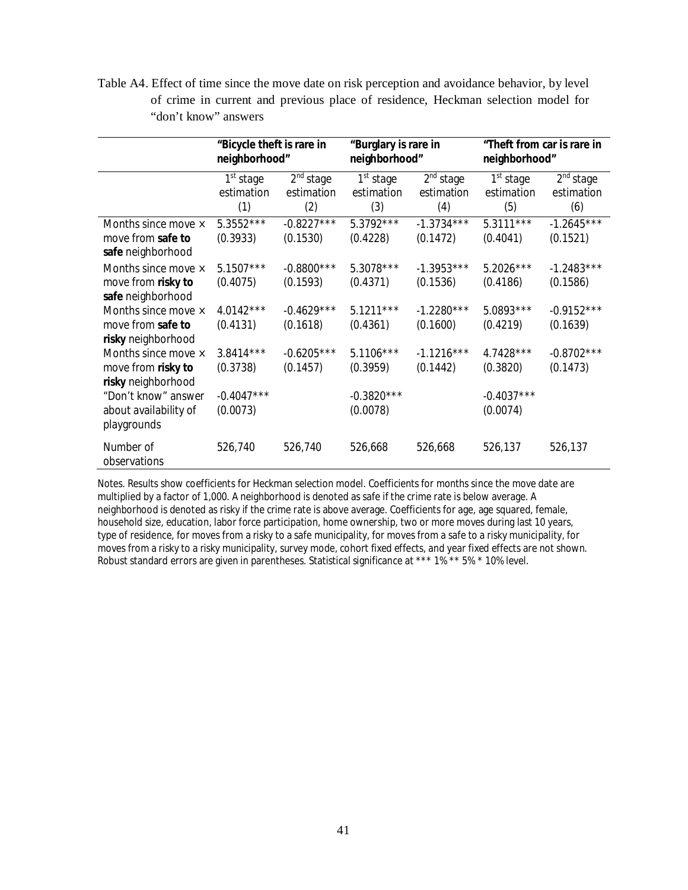Table A4. Effect of time since the move date on risk perception and avoidance behavior, by level of crime in current and previous place of residence, Heckman selection model for "don't know" answers

|                                                                 | "Bicycle theft is rare in<br>neighborhood" |                                            | "Burglary is rare in<br>neighborhood"      |                                            | "Theft from car is rare in<br>neighborhood" |                                            |
|-----------------------------------------------------------------|--------------------------------------------|--------------------------------------------|--------------------------------------------|--------------------------------------------|---------------------------------------------|--------------------------------------------|
|                                                                 | 1 <sup>st</sup> stage<br>estimation<br>(1) | 2 <sup>nd</sup> stage<br>estimation<br>(2) | 1 <sup>st</sup> stage<br>estimation<br>(3) | 2 <sup>nd</sup> stage<br>estimation<br>(4) | 1 <sup>st</sup> stage<br>estimation<br>(5)  | 2 <sup>nd</sup> stage<br>estimation<br>(6) |
| Months since move ×<br>move from safe to<br>safe neighborhood   | $5.3552***$<br>(0.3933)                    | $-0.8227***$<br>(0.1530)                   | $5.3792***$<br>(0.4228)                    | $-1.3734***$<br>(0.1472)                   | $5.3111***$<br>(0.4041)                     | $-1.2645***$<br>(0.1521)                   |
| Months since move ×<br>move from risky to<br>safe neighborhood  | 5.1507***<br>(0.4075)                      | $-0.8800$ ***<br>(0.1593)                  | 5.3078***<br>(0.4371)                      | $-1.3953***$<br>(0.1536)                   | 5.2026***<br>(0.4186)                       | $-1.2483***$<br>(0.1586)                   |
| Months since move ×<br>move from safe to<br>risky neighborhood  | 4.0142***<br>(0.4131)                      | $-0.4629***$<br>(0.1618)                   | $5.1211***$<br>(0.4361)                    | $-1.2280***$<br>(0.1600)                   | 5.0893 ***<br>(0.4219)                      | $-0.9152***$<br>(0.1639)                   |
| Months since move ×<br>move from risky to<br>risky neighborhood | $3.8414***$<br>(0.3738)                    | $-0.6205***$<br>(0.1457)                   | $5.1106***$<br>(0.3959)                    | $-1.1216***$<br>(0.1442)                   | 4.7428***<br>(0.3820)                       | $-0.8702***$<br>(0.1473)                   |
| "Don't know" answer<br>about availability of<br>playgrounds     | $-0.4047***$<br>(0.0073)                   |                                            | $-0.3820***$<br>(0.0078)                   |                                            | $-0.4037***$<br>(0.0074)                    |                                            |
| Number of<br>observations                                       | 526,740                                    | 526,740                                    | 526,668                                    | 526,668                                    | 526,137                                     | 526,137                                    |

*Notes*. Results show coefficients for Heckman selection model. Coefficients for months since the move date are multiplied by a factor of 1,000. A neighborhood is denoted as safe if the crime rate is below average. A neighborhood is denoted as risky if the crime rate is above average. Coefficients for age, age squared, female, household size, education, labor force participation, home ownership, two or more moves during last 10 years, type of residence, for moves from a risky to a safe municipality, for moves from a safe to a risky municipality, for moves from a risky to a risky municipality, survey mode, cohort fixed effects, and year fixed effects are not shown. Robust standard errors are given in parentheses. Statistical significance at \*\*\* 1% \*\* 5% \* 10% level.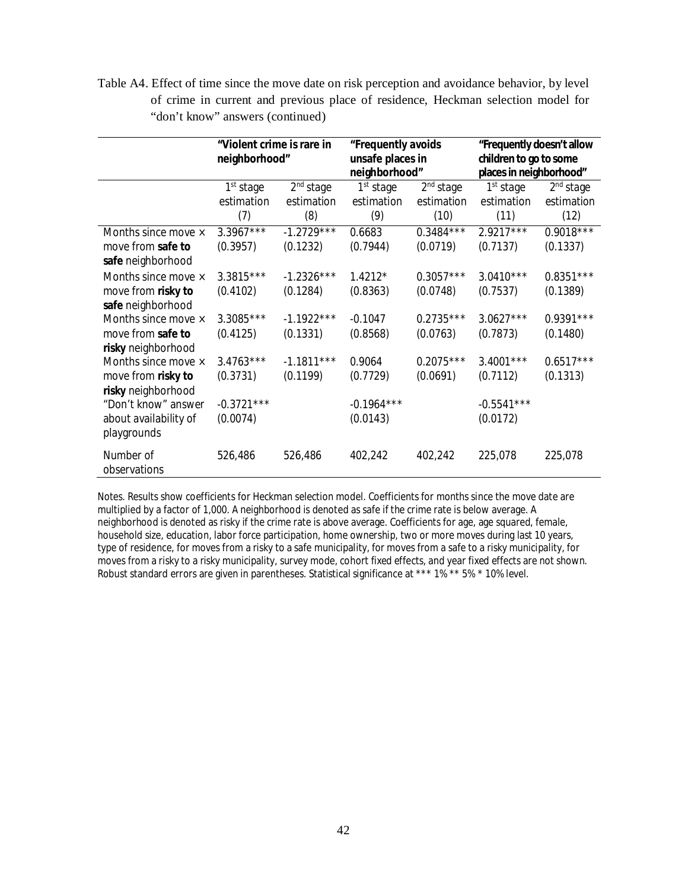Table A4. Effect of time since the move date on risk perception and avoidance behavior, by level of crime in current and previous place of residence, Heckman selection model for "don't know" answers (continued)

|                                        | "Violent crime is rare in<br>neighborhood" |                       | "Frequently avoids<br>unsafe places in |                       | "Frequently doesn't allow<br>children to go to some |                       |
|----------------------------------------|--------------------------------------------|-----------------------|----------------------------------------|-----------------------|-----------------------------------------------------|-----------------------|
|                                        |                                            |                       | neighborhood"                          |                       | places in neighborhood"                             |                       |
|                                        | 1 <sup>st</sup> stage                      | 2 <sup>nd</sup> stage | 1 <sup>st</sup> stage                  | 2 <sup>nd</sup> stage | 1 <sup>st</sup> stage                               | 2 <sup>nd</sup> stage |
|                                        | estimation                                 | estimation            | estimation                             | estimation            | estimation                                          | estimation            |
|                                        | (7)                                        | (8)                   | (9)                                    | (10)                  | (11)                                                | (12)                  |
| Months since move ×                    | $3.3967***$                                | $-1.2729***$          | 0.6683                                 | $0.3484***$           | $2.9217***$                                         | $0.9018***$           |
| move from safe to<br>safe neighborhood | (0.3957)                                   | (0.1232)              | (0.7944)                               | (0.0719)              | (0.7137)                                            | (0.1337)              |
| Months since move ×                    | 3.3815***                                  | $-1.2326***$          | $1.4212*$                              | $0.3057***$           | $3.0410***$                                         | $0.8351***$           |
| move from risky to                     | (0.4102)                                   | (0.1284)              | (0.8363)                               | (0.0748)              | (0.7537)                                            | (0.1389)              |
| safe neighborhood                      |                                            |                       |                                        |                       |                                                     |                       |
| Months since move ×                    | 3.3085***                                  | $-1.1922***$          | $-0.1047$                              | $0.2735***$           | $3.0627***$                                         | $0.9391***$           |
| move from safe to                      | (0.4125)                                   | (0.1331)              | (0.8568)                               | (0.0763)              | (0.7873)                                            | (0.1480)              |
| risky neighborhood                     |                                            |                       |                                        |                       |                                                     |                       |
| Months since move ×                    | $3.4763***$                                | $-1.1811***$          | 0.9064                                 | $0.2075***$           | $3.4001***$                                         | $0.6517***$           |
| move from risky to                     | (0.3731)                                   | (0.1199)              | (0.7729)                               | (0.0691)              | (0.7112)                                            | (0.1313)              |
| risky neighborhood                     |                                            |                       |                                        |                       |                                                     |                       |
| "Don't know" answer                    | $-0.3721***$                               |                       | $-0.1964***$                           |                       | $-0.5541***$                                        |                       |
| about availability of<br>playgrounds   | (0.0074)                                   |                       | (0.0143)                               |                       | (0.0172)                                            |                       |
| Number of<br>observations              | 526,486                                    | 526,486               | 402,242                                | 402,242               | 225,078                                             | 225,078               |

*Notes*. Results show coefficients for Heckman selection model. Coefficients for months since the move date are multiplied by a factor of 1,000. A neighborhood is denoted as safe if the crime rate is below average. A neighborhood is denoted as risky if the crime rate is above average. Coefficients for age, age squared, female, household size, education, labor force participation, home ownership, two or more moves during last 10 years, type of residence, for moves from a risky to a safe municipality, for moves from a safe to a risky municipality, for moves from a risky to a risky municipality, survey mode, cohort fixed effects, and year fixed effects are not shown. Robust standard errors are given in parentheses. Statistical significance at \*\*\* 1% \*\* 5% \* 10% level.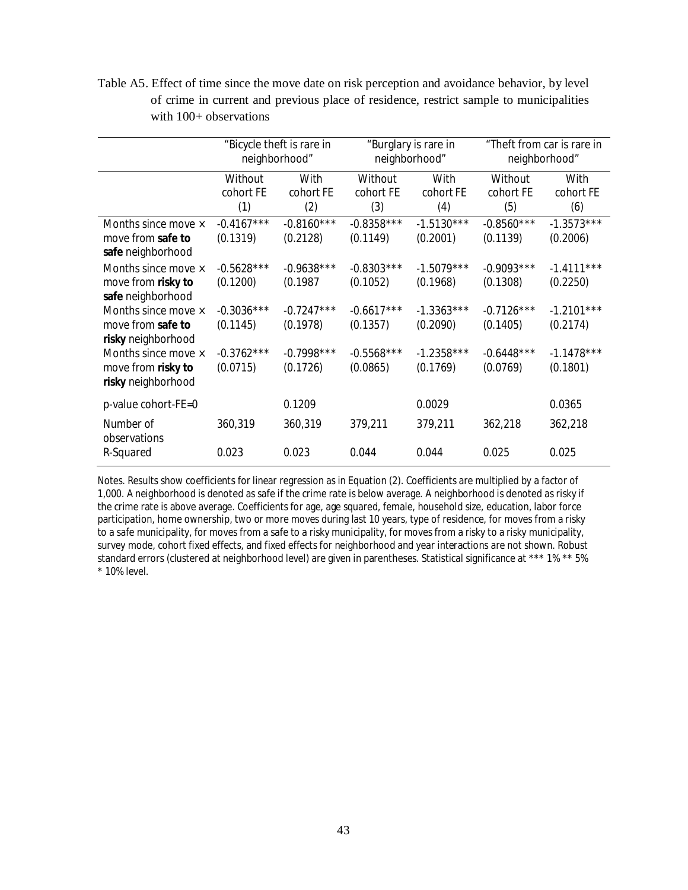Table A5. Effect of time since the move date on risk perception and avoidance behavior, by level of crime in current and previous place of residence, restrict sample to municipalities with  $100+$  observations

|                                                                 | "Bicycle theft is rare in<br>neighborhood" |                          | "Burglary is rare in<br>neighborhood" |                          | "Theft from car is rare in<br>neighborhood" |                          |
|-----------------------------------------------------------------|--------------------------------------------|--------------------------|---------------------------------------|--------------------------|---------------------------------------------|--------------------------|
|                                                                 | Without<br>cohort FE<br>(1)                | With<br>cohort FE<br>(2) | Without<br>cohort FE<br>(3)           | With<br>cohort FE<br>(4) | Without<br>cohort FE<br>(5)                 | With<br>cohort FE<br>(6) |
| Months since move ×<br>move from safe to<br>safe neighborhood   | $-0.4167***$<br>(0.1319)                   | $-0.8160***$<br>(0.2128) | $-0.8358***$<br>(0.1149)              | $-1.5130***$<br>(0.2001) | $-0.8560***$<br>(0.1139)                    | $-1.3573***$<br>(0.2006) |
| Months since move ×<br>move from risky to<br>safe neighborhood  | $-0.5628***$<br>(0.1200)                   | $-0.9638***$<br>(0.1987) | $-0.8303***$<br>(0.1052)              | $-1.5079***$<br>(0.1968) | $-0.9093***$<br>(0.1308)                    | $-1.4111***$<br>(0.2250) |
| Months since move ×<br>move from safe to<br>risky neighborhood  | $-0.3036***$<br>(0.1145)                   | $-0.7247***$<br>(0.1978) | $-0.6617***$<br>(0.1357)              | $-1.3363***$<br>(0.2090) | $-0.7126***$<br>(0.1405)                    | $-1.2101***$<br>(0.2174) |
| Months since move ×<br>move from risky to<br>risky neighborhood | $-0.3762***$<br>(0.0715)                   | $-0.7998***$<br>(0.1726) | $-0.5568***$<br>(0.0865)              | $-1.2358***$<br>(0.1769) | $-0.6448***$<br>(0.0769)                    | $-1.1478***$<br>(0.1801) |
| p-value cohort-FE=0                                             |                                            | 0.1209                   |                                       | 0.0029                   |                                             | 0.0365                   |
| Number of<br>observations                                       | 360,319                                    | 360,319                  | 379,211                               | 379,211                  | 362,218                                     | 362,218                  |
| R-Squared                                                       | 0.023                                      | 0.023                    | 0.044                                 | 0.044                    | 0.025                                       | 0.025                    |

*Notes*. Results show coefficients for linear regression as in Equation (2). Coefficients are multiplied by a factor of 1,000. A neighborhood is denoted as safe if the crime rate is below average. A neighborhood is denoted as risky if the crime rate is above average. Coefficients for age, age squared, female, household size, education, labor force participation, home ownership, two or more moves during last 10 years, type of residence, for moves from a risky to a safe municipality, for moves from a safe to a risky municipality, for moves from a risky to a risky municipality, survey mode, cohort fixed effects, and fixed effects for neighborhood and year interactions are not shown. Robust standard errors (clustered at neighborhood level) are given in parentheses. Statistical significance at \*\*\* 1% \*\* 5% \* 10% level.